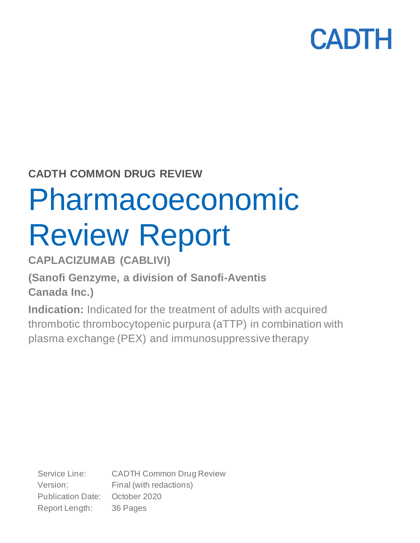### **CADTH COMMON DRUG REVIEW**

# Pharmacoeconomic Review Report

### **CAPLACIZUMAB (CABLIVI)**

### **(Sanofi Genzyme, a division of Sanofi-Aventis Canada Inc.)**

**Indication:** Indicated for the treatment of adults with acquired thrombotic thrombocytopenic purpura (aTTP) in combination with plasma exchange (PEX) and immunosuppressive therapy

Service Line: CADTH Common Drug Review Version: Final (with redactions) Publication Date: October 2020 Report Length: 36 Pages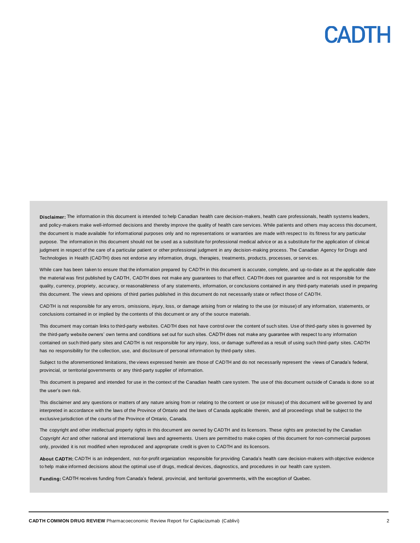**Disclaimer:** The information in this document is intended to help Canadian health care decision-makers, health care professionals, health systems leaders, and policy-makers make well-informed decisions and thereby improve the quality of health care services. While patients and others may access this document, the document is made available for informational purposes only and no representations or warranties are made with respect to its fitness for any particular purpose. The information in this document should not be used as a substitute for professional medical advice or as a substitute for the application of clinical judgment in respect of the care of a particular patient or other professional judgment in any decision-making process. The Canadian Agency for Drugs and Technologies in Health (CADTH) does not endorse any information, drugs, therapies, treatments, products, processes, or servic es.

While care has been taken to ensure that the information prepared by CADTH in this document is accurate, complete, and up-to-date as at the applicable date the material was first published by CADTH, CADTH does not make any guarantees to that effect. CADTH does not guarantee and is not responsible for the quality, currency, propriety, accuracy, or reasonableness of any statements, information, or conclusions contained in any third-party materials used in preparing this document. The views and opinions of third parties published in this document do not necessarily state or reflect those of CADTH.

CADTH is not responsible for any errors, omissions, injury, loss, or damage arising from or relating to the use (or misuse) of any information, statements, or conclusions contained in or implied by the contents of this document or any of the source materials.

This document may contain links to third-party websites. CADTH does not have control over the content of such sites. Use of third-party sites is governed by the third-party website owners' own terms and conditions set out for such sites. CADTH does not make any guarantee with respect to any information contained on such third-party sites and CADTH is not responsible for any injury, loss, or damage suffered as a result of using such third-party sites. CADTH has no responsibility for the collection, use, and disclosure of personal information by third-party sites.

Subject to the aforementioned limitations, the views expressed herein are those of CADTH and do not necessarily represent the views of Canada's federal, provincial, or territorial governments or any third-party supplier of information.

This document is prepared and intended for use in the context of the Canadian health care system. The use of this document outside of Canada is done so at the user's own risk.

This disclaimer and any questions or matters of any nature arising from or relating to the content or use (or misuse) of this document will be governed by and interpreted in accordance with the laws of the Province of Ontario and the laws of Canada applicable therein, and all proceedings shall be subject to the exclusive jurisdiction of the courts of the Province of Ontario, Canada.

The copyright and other intellectual property rights in this document are owned by CADTH and its licensors. These rights are protected by the Canadian *Copyright Act* and other national and international laws and agreements. Users are permitted to make copies of this document for non-commercial purposes only, provided it is not modified when reproduced and appropriate credit is given to CADTH and its licensors.

**About CADTH:** CADTH is an independent, not-for-profit organization responsible for providing Canada's health care decision-makers with objective evidence to help make informed decisions about the optimal use of drugs, medical devices, diagnostics, and procedures in our health care system.

**Funding:** CADTH receives funding from Canada's federal, provincial, and territorial governments, with the exception of Quebec.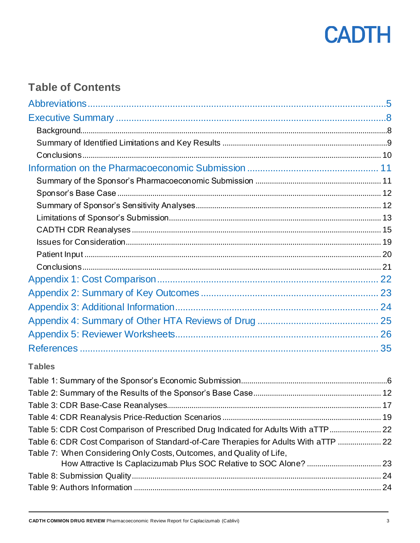

### **Table of Contents**

#### **Tables**

| Table 5: CDR Cost Comparison of Prescribed Drug Indicated for Adults With aTTP      |  |
|-------------------------------------------------------------------------------------|--|
| Table 6: CDR Cost Comparison of Standard-of-Care Therapies for Adults With aTTP  22 |  |
| Table 7: When Considering Only Costs, Outcomes, and Quality of Life,                |  |
|                                                                                     |  |
|                                                                                     |  |
|                                                                                     |  |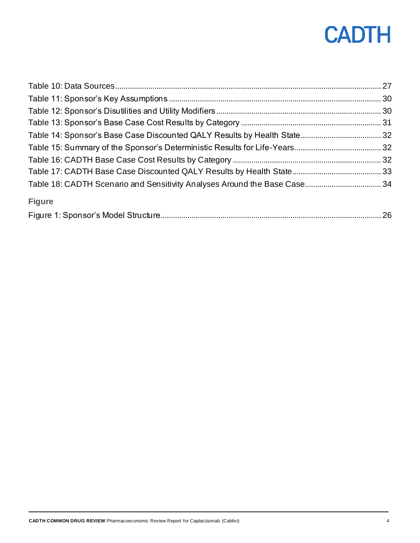| <b>Figure</b> |  |
|---------------|--|
|               |  |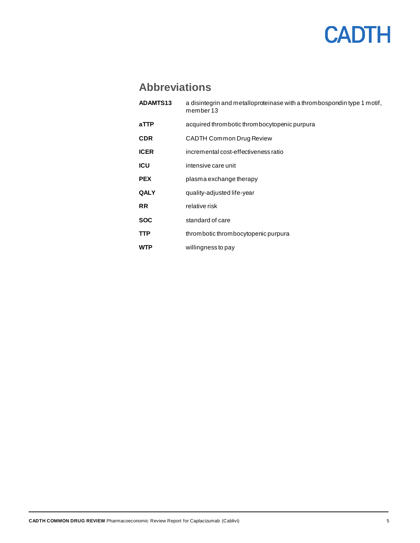### **Abbreviations**

<span id="page-4-0"></span>

| <b>ADAMTS13</b> | a disintegrin and metalloproteinase with a thrombospondin type 1 motif,<br>member 13 |
|-----------------|--------------------------------------------------------------------------------------|
| aTTP            | acquired thrombotic thrombocytopenic purpura                                         |
| <b>CDR</b>      | <b>CADTH Common Drug Review</b>                                                      |
| <b>ICER</b>     | incremental cost-effectiveness ratio                                                 |
| <b>ICU</b>      | intensive care unit                                                                  |
| <b>PEX</b>      | plasma exchange therapy                                                              |
| <b>QALY</b>     | quality-adjusted life-year                                                           |
| <b>RR</b>       | relative risk                                                                        |
| <b>SOC</b>      | standard of care                                                                     |
| <b>TTP</b>      | thrombotic thrombocytopenic purpura                                                  |
| WTP             | willingness to pay                                                                   |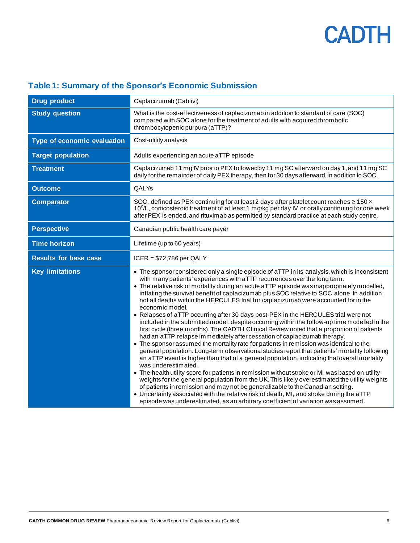| <b>Drug product</b>          | Caplacizumab (Cablivi)                                                                                                                                                                                                                                                                                                                                                                                                                                                                                                                                                                                                                                                                                                                                                                                                                                                                                                                                                                                                                                                                                                                                                                                                                                                                                                                                                                                                                                                                                                                                                                                                                     |
|------------------------------|--------------------------------------------------------------------------------------------------------------------------------------------------------------------------------------------------------------------------------------------------------------------------------------------------------------------------------------------------------------------------------------------------------------------------------------------------------------------------------------------------------------------------------------------------------------------------------------------------------------------------------------------------------------------------------------------------------------------------------------------------------------------------------------------------------------------------------------------------------------------------------------------------------------------------------------------------------------------------------------------------------------------------------------------------------------------------------------------------------------------------------------------------------------------------------------------------------------------------------------------------------------------------------------------------------------------------------------------------------------------------------------------------------------------------------------------------------------------------------------------------------------------------------------------------------------------------------------------------------------------------------------------|
| <b>Study question</b>        | What is the cost-effectiveness of caplacizumab in addition to standard of care (SOC)<br>compared with SOC alone for the treatment of adults with acquired thrombotic<br>thrombocytopenic purpura (aTTP)?                                                                                                                                                                                                                                                                                                                                                                                                                                                                                                                                                                                                                                                                                                                                                                                                                                                                                                                                                                                                                                                                                                                                                                                                                                                                                                                                                                                                                                   |
| Type of economic evaluation  | Cost-utility analysis                                                                                                                                                                                                                                                                                                                                                                                                                                                                                                                                                                                                                                                                                                                                                                                                                                                                                                                                                                                                                                                                                                                                                                                                                                                                                                                                                                                                                                                                                                                                                                                                                      |
| <b>Target population</b>     | Adults experiencing an acute aTTP episode                                                                                                                                                                                                                                                                                                                                                                                                                                                                                                                                                                                                                                                                                                                                                                                                                                                                                                                                                                                                                                                                                                                                                                                                                                                                                                                                                                                                                                                                                                                                                                                                  |
| <b>Treatment</b>             | Caplacizumab 11 mg IV prior to PEX followed by 11 mg SC afterward on day 1, and 11 mg SC<br>daily for the remainder of daily PEX therapy, then for 30 days afterward, in addition to SOC.                                                                                                                                                                                                                                                                                                                                                                                                                                                                                                                                                                                                                                                                                                                                                                                                                                                                                                                                                                                                                                                                                                                                                                                                                                                                                                                                                                                                                                                  |
| <b>Outcome</b>               | <b>QALYs</b>                                                                                                                                                                                                                                                                                                                                                                                                                                                                                                                                                                                                                                                                                                                                                                                                                                                                                                                                                                                                                                                                                                                                                                                                                                                                                                                                                                                                                                                                                                                                                                                                                               |
| <b>Comparator</b>            | SOC, defined as PEX continuing for at least 2 days after platelet count reaches $\geq 150 \times$<br>10 <sup>9</sup> /L, corticosteroid treatment of at least 1 mg/kg per day IV or orally continuing for one week<br>after PEX is ended, and rituximab as permitted by standard practice at each study centre.                                                                                                                                                                                                                                                                                                                                                                                                                                                                                                                                                                                                                                                                                                                                                                                                                                                                                                                                                                                                                                                                                                                                                                                                                                                                                                                            |
| <b>Perspective</b>           | Canadian public health care payer                                                                                                                                                                                                                                                                                                                                                                                                                                                                                                                                                                                                                                                                                                                                                                                                                                                                                                                                                                                                                                                                                                                                                                                                                                                                                                                                                                                                                                                                                                                                                                                                          |
| <b>Time horizon</b>          | Lifetime (up to 60 years)                                                                                                                                                                                                                                                                                                                                                                                                                                                                                                                                                                                                                                                                                                                                                                                                                                                                                                                                                                                                                                                                                                                                                                                                                                                                                                                                                                                                                                                                                                                                                                                                                  |
| <b>Results for base case</b> | $ICER = $72,786$ per QALY                                                                                                                                                                                                                                                                                                                                                                                                                                                                                                                                                                                                                                                                                                                                                                                                                                                                                                                                                                                                                                                                                                                                                                                                                                                                                                                                                                                                                                                                                                                                                                                                                  |
| <b>Key limitations</b>       | • The sponsor considered only a single episode of aTTP in its analysis, which is inconsistent<br>with many patients' experiences with aTTP recurrences over the long term.<br>• The relative risk of mortality during an acute aTTP episode was inappropriately modelled,<br>inflating the survival benefit of caplacizumab plus SOC relative to SOC alone. In addition,<br>not all deaths within the HERCULES trial for caplacizumab were accounted for in the<br>economic model.<br>• Relapses of aTTP occurring after 30 days post-PEX in the HERCULES trial were not<br>included in the submitted model, despite occurring within the follow-up time modelled in the<br>first cycle (three months). The CADTH Clinical Review noted that a proportion of patients<br>had an aTTP relapse immediately after cessation of caplacizumab therapy.<br>• The sponsor assumed the mortality rate for patients in remission was identical to the<br>general population. Long-term observational studies report that patients' mortality following<br>an aTTP event is higher than that of a general population, indicating that overall mortality<br>was underestimated.<br>• The health utility score for patients in remission without stroke or MI was based on utility<br>weights for the general population from the UK. This likely overestimated the utility weights<br>of patients in remission and may not be generalizable to the Canadian setting.<br>• Uncertainty associated with the relative risk of death, MI, and stroke during the aTTP<br>episode was underestimated, as an arbitrary coefficient of variation was assumed. |

### <span id="page-5-0"></span>**Table 1: Summary of the Sponsor's Economic Submission**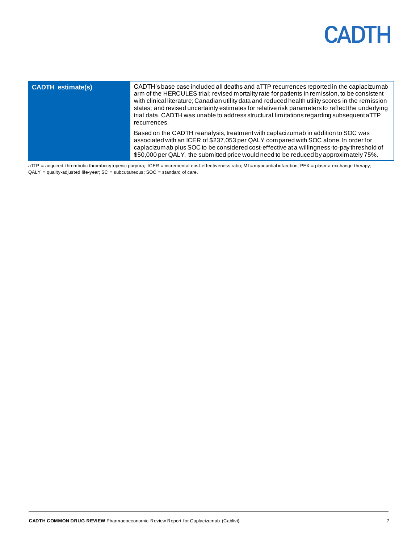| <b>CADTH</b> estimate(s) | CADTH's base case included all deaths and aTTP recurrences reported in the caplacizumab<br>arm of the HERCULES trial; revised mortality rate for patients in remission, to be consistent<br>with clinical literature; Canadian utility data and reduced health utility scores in the remission<br>states; and revised uncertainty estimates for relative risk parameters to reflect the underlying<br>trial data. CADTH was unable to address structural limitations regarding subsequent aTTP<br>recurrences. |  |  |  |
|--------------------------|----------------------------------------------------------------------------------------------------------------------------------------------------------------------------------------------------------------------------------------------------------------------------------------------------------------------------------------------------------------------------------------------------------------------------------------------------------------------------------------------------------------|--|--|--|
|                          | Based on the CADTH reanalysis, treatment with caplacizumab in addition to SOC was<br>associated with an ICER of \$237,053 per QALY compared with SOC alone. In order for<br>caplacizumab plus SOC to be considered cost-effective at a willingness-to-pay threshold of<br>\$50,000 per QALY, the submitted price would need to be reduced by approximately 75%.                                                                                                                                                |  |  |  |

aTTP = acquired thrombotic thrombocytopenic purpura; ICER = incremental cost-effectiveness ratio; MI = myocardial infarction; PEX = plasma exchange therapy;  $QALY = quality-adjusted life-year; SC = subcutaneous; SOC = standard of care.$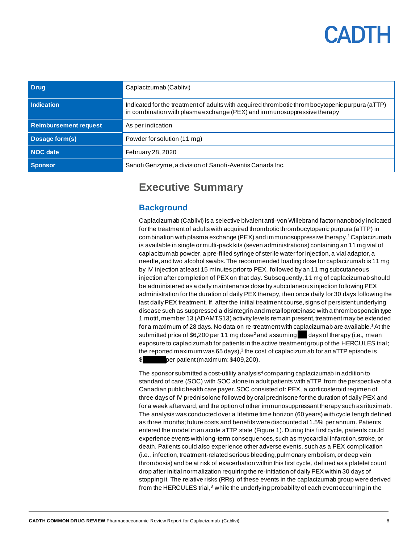<span id="page-7-0"></span>

| <b>Drug</b>                  | Caplacizumab (Cablivi)                                                                                                                                                    |
|------------------------------|---------------------------------------------------------------------------------------------------------------------------------------------------------------------------|
| Indication                   | Indicated for the treatment of adults with acquired thrombotic thrombocytopenic purpura (aTTP)<br>in combination with plasma exchange (PEX) and immunosuppressive therapy |
| <b>Reimbursement request</b> | As per indication                                                                                                                                                         |
| Dosage form(s)               | Powder for solution (11 mg)                                                                                                                                               |
| NOC date                     | February 28, 2020                                                                                                                                                         |
| <b>Sponsor</b>               | Sanofi Genzyme, a division of Sanofi-Aventis Canada Inc.                                                                                                                  |

### **Executive Summary**

#### <span id="page-7-1"></span>**Background**

Caplacizumab (Cablivi) is a selective bivalent anti-von Willebrand factor nanobody indicated for the treatment of adults with acquired thrombotic thrombocytopenic purpura (aTTP) in combination with plasma exchange (PEX) and immunosuppressive therapy. <sup>1</sup>Caplacizumab is available in single or multi-pack kits (seven administrations) containing an 11 mg vial of caplacizumab powder, a pre-filled syringe of sterile water for injection, a vial adaptor, a needle, and two alcohol swabs. The recommended loading dose for caplacizumab is 11 mg by IV injection at least 15 minutes prior to PEX, followed by an 11 mg subcutaneous injection after completion of PEX on that day. Subsequently, 11 mg of caplacizumab should be administered as a daily maintenance dose by subcutaneous injection following PEX administration for the duration of daily PEX therapy, then once daily for 30 days following the last daily PEX treatment. If, after the initial treatment course, signs of persistent underlying disease such as suppressed a disintegrin and metalloproteinase with a thrombospondin type 1 motif, member 13 (ADAMTS13) activity levels remain present, treatment may be extended for a maximum of 28 days. No data on re-treatment with caplacizumab are available.<sup>1</sup> At the submitted price of \$6,200 per 11 mg dose<sup>2</sup> and assuming days of therapy (i.e., mean exposure to caplacizumab for patients in the active treatment group of the HERCULES trial; the reported maximum was 65 days), $^3$  the cost of caplacizumab for an aTTP episode is  $\$\text{per patient}$  (maximum: \$409,200).

The sponsor submitted a cost-utility analysis<sup>4</sup> comparing caplacizumab in addition to standard of care (SOC) with SOC alone in adult patients with aTTP from the perspective of a Canadian public health care payer.SOC consisted of: PEX, a corticosteroid regimen of three days of IV prednisolone followed by oral prednisone for the duration of daily PEX and for a week afterward, and the option of other immunosuppressant therapy such as rituximab. The analysis was conducted over a lifetime time horizon (60 years) with cycle length defined as three months; future costs and benefits were discounted at 1.5% per annum.Patients entered the model in an acute aTTP state [\(Figure](#page-25-1) 1). During this first cycle, patients could experience events with long-term consequences, such as myocardial infarction, stroke, or death. Patients could also experience other adverse events, such as a PEX complication (i.e., infection, treatment-related serious bleeding, pulmonary embolism, or deep vein thrombosis) and be at risk of exacerbation within this first cycle, defined as a platelet count drop after initial normalization requiring the re-initiation of daily PEX within 30 days of stopping it. The relative risks (RRs) of these events in the caplacizumab group were derived from the HERCULES trial, $3$  while the underlying probability of each event occurring in the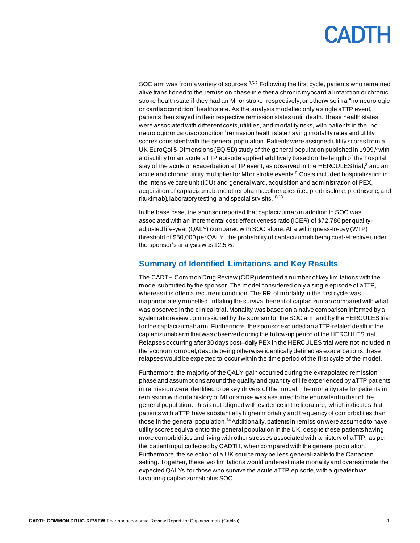SOC arm was from a variety of sources.<sup>3,5-7</sup> Following the first cycle, patients who remained alive transitioned to the remission phase in either a chronic myocardial infarction or chronic stroke health state if they had an MI or stroke, respectively, or otherwise in a "no neurologic or cardiac condition" health state. As the analysis modelled only a single aTTP event, patients then stayed in their respective remission states until death. These health states were associated with different costs, utilities, and mortality risks, with patients in the "no neurologic or cardiac condition" remission health state having mortality rates and utility scores consistent with the general population. Patients were assigned utility scores from a UK EuroQol 5-Dimensions (EQ-5D) study of the general population published in 1999, <sup>8</sup>with a disutility for an acute aTTP episode applied additively based on the length of the hospital stay of the acute or exacerbation aTTP event, as observed in the HERCULES trial,<sup>3</sup> and an acute and chronic utility multiplier for MI or stroke events.<sup>9</sup> Costs included hospitalization in the intensive care unit (ICU) and general ward, acquisition and administration of PEX, acquisition of caplacizumab and other pharmacotherapies (i.e., prednisolone, prednisone, and rituximab), laboratory testing, and specialist visits.<sup>10-13</sup>

In the base case, the sponsor reported that caplacizumab in addition to SOC was associated with an incremental cost-effectiveness ratio (ICER) of \$72,786 per qualityadjusted life-year (QALY) compared with SOC alone. At a willingness-to-pay (WTP) threshold of \$50,000 per QALY, the probability of caplacizumab being cost-effective under the sponsor's analysis was 12.5%.

#### <span id="page-8-0"></span>**Summary of Identified Limitations and Key Results**

The CADTH Common Drug Review (CDR) identified a number of key limitations with the model submitted by the sponsor. The model considered only a single episode of aTTP, whereas it is often a recurrent condition. The RR of mortality in the first cycle was inappropriately modelled, inflating the survival benefit of caplacizumab compared with what was observed in the clinical trial.Mortality was based on a naive comparison informed by a systematic review commissioned by the sponsor for the SOC arm and by the HERCULES trial for the caplacizumabarm. Furthermore, the sponsor excluded an aTTP-related death in the caplacizumab arm that was observed during the follow-up period of the HERCULES trial. Relapses occurring after 30 days post-daily PEX in the HERCULES trial were not included in the economic model, despite being otherwise identically defined as exacerbations; these relapses would be expected to occur within the time period of the first cycle of the model.

Furthermore, the majority of the QALY gain occurred during the extrapolated remission phase and assumptions around the quality and quantity of life experienced by aTTP patients in remission were identified to be key drivers of the model. The mortality rate for patients in remission without a history of MI or stroke was assumed to be equivalent to that of the general population. This is not aligned with evidence in the literature, which indicates that patients with aTTP have substantially higher mortality and frequency of comorbidities than those in the general population.<sup>14</sup> Additionally, patients in remission were assumed to have utility scores equivalent to the general population in the UK, despite these patients having more comorbidities and living with other stresses associated with a history of aTTP, as per the patient input collected by CADTH, when compared with the general population. Furthermore, the selection of a UK source may be less generalizable to the Canadian setting. Together, these two limitations would underestimate mortality and overestimate the expected QALYs for those who survive the acute aTTP episode, with a greater bias favouring caplacizumab plus SOC.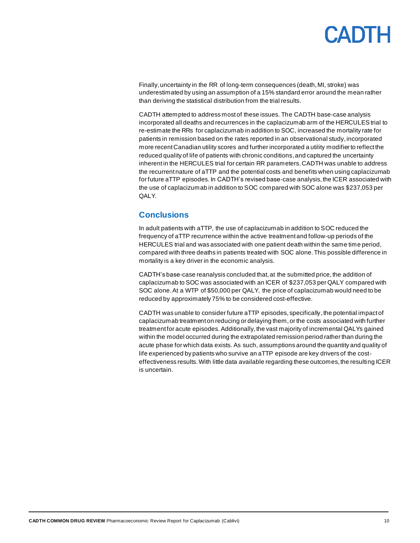## PANTE

Finally, uncertainty in the RR of long-term consequences (death, MI, stroke) was underestimated by using an assumption of a 15% standard error around the mean rather than deriving the statistical distribution from the trial results.

CADTH attempted to address most of these issues. The CADTH base-case analysis incorporated all deaths and recurrences in the caplacizumab arm of the HERCULES trial to re-estimate the RRs for caplacizumab in addition to SOC, increased the mortality rate for patients in remission based on the rates reported in an observational study, incorporated more recent Canadian utility scores and further incorporated a utility modifier to reflect the reduced quality of life of patients with chronic conditions, and captured the uncertainty inherent in the HERCULES trial for certain RR parameters.CADTH was unable to address the recurrent nature of aTTP and the potential costs and benefits when using caplacizumab for future aTTP episodes. In CADTH's revised base-case analysis, the ICER associated with the use of caplacizumab in addition to SOC compared with SOC alone was \$237,053 per QALY.

#### <span id="page-9-0"></span>**Conclusions**

In adult patients with aTTP, the use of caplacizumab in addition to SOC reduced the frequency of aTTP recurrence within the active treatment and follow-up periods of the HERCULES trial and was associated with one patient death within the same time period, compared with three deaths in patients treated with SOC alone. This possible difference in mortality is a key driver in the economic analysis.

CADTH's base-case reanalysis concluded that, at the submitted price, the addition of caplacizumab to SOC was associated with an ICER of \$237,053 per QALY compared with SOC alone. At a WTP of \$50,000 per QALY, the price of caplacizumab would need to be reduced by approximately 75% to be considered cost-effective.

CADTH was unable to consider future aTTP episodes, specifically, the potential impact of caplacizumab treatment on reducing or delaying them, or the costs associated with further treatment for acute episodes. Additionally, the vast majority of incremental QALYs gained within the model occurred during the extrapolated remission period rather than during the acute phase for which data exists. As such, assumptions around the quantity and quality of life experienced by patients who survive an aTTP episode are key drivers of the costeffectiveness results. With little data available regarding these outcomes, the resulting ICER is uncertain.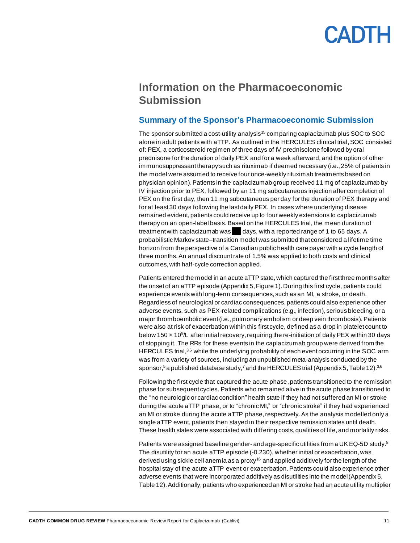### <span id="page-10-0"></span>**Information on the Pharmacoeconomic Submission**

#### <span id="page-10-1"></span>**Summary of the Sponsor's Pharmacoeconomic Submission**

The sponsor submitted a cost-utility analysis<sup>15</sup> comparing caplacizumab plus SOC to SOC alone in adult patients with aTTP. As outlined in the HERCULES clinical trial,SOC consisted of: PEX, a corticosteroid regimen of three days of IV prednisolone followed by oral prednisone for the duration of daily PEX and for a week afterward, and the option of other immunosuppressant therapy such as rituximab if deemed necessary (i.e., 25% of patients in the model were assumed to receive four once-weekly rituximab treatments based on physician opinion). Patients in the caplacizumab group received 11 mg of caplacizumab by IV injection prior to PEX, followed by an 11 mg subcutaneous injection after completion of PEX on the first day, then 11 mg subcutaneous per day for the duration of PEX therapy and for at least 30 days following the last daily PEX. In cases where underlying disease remained evident, patients could receive up to four weekly extensions to caplacizumab therapy on an open-label basis. Based on the HERCULES trial, the mean duration of treatment with caplacizumab was days, with a reported range of 1 to 65 days. A probabilistic Markov state–transition model was submitted that considered a lifetime time horizon from the perspective of a Canadian public health care payer with a cycle length of three months. An annual discount rate of 1.5% was applied to both costs and clinical outcomes, with half-cycle correction applied.

Patients entered the model in an acute aTTP state, which captured the first three months after the onset of an aTTP episode (Appendix 5[, Figure](#page-25-1) 1).During this first cycle, patients could experience events with long-term consequences, such as an MI, a stroke, or death. Regardless of neurological or cardiac consequences, patients could also experience other adverse events, such as PEX-related complications (e.g., infection), serious bleeding, or a major thromboembolic event (i.e., pulmonary embolism or deep vein thrombosis). Patients were also at risk of exacerbation within this first cycle, defined as a drop in platelet count to below 150 x 10<sup>9</sup>/L after initial recovery, requiring the re-initiation of daily PEX within 30 days of stopping it. The RRs for these events in the caplacizumab group were derived from the HERCULES trial,<sup>3,6</sup> while the underlying probability of each event occurring in the SOC arm was from a variety of sources, including an unpublished meta-analysis conducted by the sponsor,<sup>5</sup> a published database study,<sup>7</sup> and the HERCULES trial (Appendix [5, Table](#page-29-1) 12). $^{36}$ 

Following the first cycle that captured the acute phase, patients transitioned to the remission phase for subsequent cycles. Patients who remained alive in the acute phase transitioned to the "no neurologic or cardiac condition" health state if they had not suffered an MI or stroke during the acute aTTP phase, or to "chronic MI," or "chronic stroke" if they had experienced an MI or stroke during the acute aTTP phase, respectively. As the analysis modelled only a single aTTP event, patients then stayed in their respective remission states until death. These health states were associated with differing costs, qualities of life, and mortality risks.

Patients were assigned baseline gender- and age-specific utilities from a UK EQ-5D study.<sup>8</sup> The disutility for an acute aTTP episode (-0.230), whether initial or exacerbation, was derived using sickle cell anemia as a proxy<sup>16</sup> and applied additively for the length of the hospital stay of the acute aTTP event or exacerbation. Patients could also experience other adverse events that were incorporated additively as disutilities into the model (Appendix 5, [Table](#page-29-1) 12). Additionally, patients who experienced an MI or stroke had an acute utility multiplier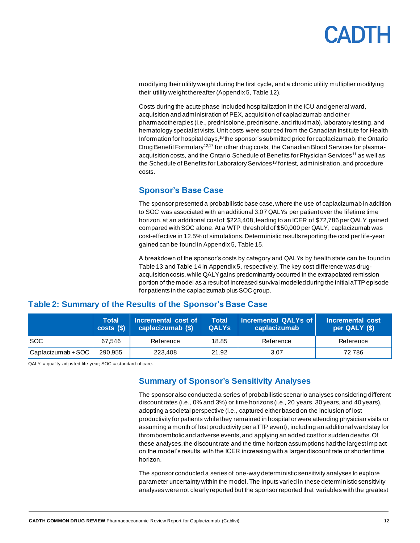## **ANTL**

modifying their utility weight during the first cycle, and a chronic utility multiplier modifying their utility weight thereafter (Appendix 5[, Table](#page-29-1) 12).

Costs during the acute phase included hospitalization in the ICU and general ward, acquisition and administration of PEX, acquisition of caplacizumab and other pharmacotherapies (i.e., prednisolone, prednisone, and rituximab), laboratory testing, and hematology specialist visits. Unit costs were sourced from the Canadian Institute for Health Information for hospital days,  $10$  the sponsor's submitted price for caplacizumab, the Ontario Drug Benefit Formulary<sup>12,17</sup> for other drug costs, the Canadian Blood Services for plasmaacquisition costs, and the Ontario Schedule of Benefits for Physician Services<sup>11</sup> as well as the Schedule of Benefits for Laboratory Services<sup>13</sup> for test, administration, and procedure costs.

#### <span id="page-11-0"></span>**Sponsor's Base Case**

The sponsor presented a probabilistic base case, where the use of caplacizumab in addition to SOC was associated with an additional 3.07 QALYs per patient over the lifetime time horizon, at an additional cost of \$223,408, leading to an ICER of \$72,786 per QALY gained compared with SOC alone. At a WTP threshold of \$50,000 per QALY, caplacizumab was cost-effective in 12.5% of simulations. Deterministic results reporting the cost per life-year gained can be found in Appendix 5[, Table](#page-31-1) 15.

A breakdown of the sponsor's costs by category and QALYs by health state can be found in [Table](#page-30-0) 13 and [Table](#page-31-0) 14 in Appendix 5, respectively.The key cost difference was drugacquisition costs,while QALY gains predominantly occurred in the extrapolated remission portion of the model as a result of increased survival modelled during the initial aTTP episode for patients in the caplacizumab plus SOC group.

|                    | <b>Total</b><br>costs( | Incremental cost of<br>caplacizumab (\$) | <b>Total</b><br><b>QALYS</b> | Incremental QALYs of<br>caplacizumab | Incremental cost<br>per QALY (\$) |
|--------------------|------------------------|------------------------------------------|------------------------------|--------------------------------------|-----------------------------------|
| <b>SOC</b>         | 67.546                 | Reference                                | 18.85                        | Reference                            | Reference                         |
| Caplacizumab + SOC | 290.955                | 223,408                                  | 21.92                        | 3.07                                 | 72.786                            |

#### <span id="page-11-2"></span>**Table 2: Summary of the Results of the Sponsor's Base Case**

<span id="page-11-1"></span> $QALY = quality-adjusted life-year; SOC = standard of care.$ 

#### **Summary of Sponsor's Sensitivity Analyses**

The sponsor also conducted a series of probabilistic scenario analyses considering different discount rates (i.e., 0% and 3%) or time horizons (i.e., 20 years, 30 years, and 40 years), adopting a societal perspective (i.e., captured either based on the inclusion of lost productivity for patients while they remained in hospital or were attending physician visits or assuming a month of lost productivity per aTTP event), including an additional ward stay for thromboembolic and adverse events, and applying an added cost for sudden deaths. Of these analyses, the discount rate and the time horizon assumptions had the largest impact on the model's results, with the ICER increasing with a larger discount rate or shorter time horizon.

The sponsor conducted a series of one-way deterministic sensitivity analyses to explore parameter uncertainty within the model. The inputs varied in these deterministic sensitivity analyses were not clearly reported but the sponsor reported that variables with the greatest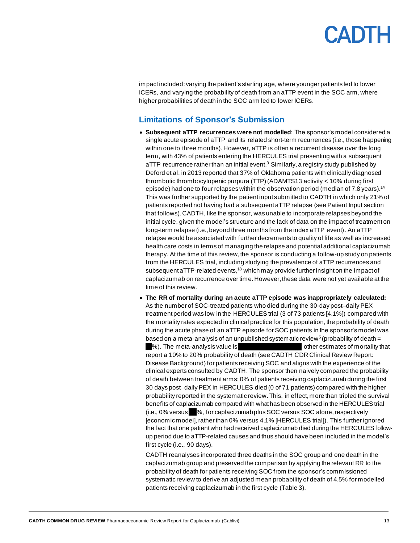impact included: varying the patient's starting age, where younger patients led to lower ICERs, and varying the probability of death from an aTTP event in the SOC arm, where higher probabilities of death in the SOC arm led to lower ICERs.

#### <span id="page-12-0"></span>**Limitations of Sponsor's Submission**

• **Subsequent aTTP recurrences were not modelled**: The sponsor's model considered a single acute episode of aTTP and its related short-term recurrences (i.e., those happening within one to three months). However, aTTP is often a recurrent disease over the long term, with 43% of patients entering the HERCULES trial presenting with a subsequent aTTP recurrence rather than an initial event.<sup>3</sup> Similarly, a registry study published by Deford et al. in 2013 reported that 37% of Oklahoma patients with clinically diagnosed thrombotic thrombocytopenic purpura (TTP) (ADAMTS13 activity < 10% during first episode) had one to four relapses within the observation period (median of 7.8 years).<sup>14</sup> This was further supported by the patient input submitted to CADTH in which only 21% of patients reported not having had a subsequent aTTP relapse (see Patient Input section that follows). CADTH, like the sponsor, was unable to incorporate relapses beyond the initial cycle, given the model's structure and the lack of data on the impact of treatment on long-term relapse (i.e., beyond three months from the index aTTP event). An aTTP relapse would be associated with further decrements to quality of life as well as increased health care costs in terms of managing the relapse and potential additional caplacizumab therapy. At the time of this review, the sponsor is conducting a follow-up study on patients from the HERCULES trial, including studying the prevalence of aTTP recurrences and subsequent aTTP-related events, $18$  which may provide further insight on the impact of caplacizumab on recurrence over time. However, these data were not yet available at the time of this review.

• **The RR of mortality during an acute aTTP episode was inappropriately calculated:** As the number of SOC-treated patients who died during the 30-day post–daily PEX treatment period was low in the HERCULES trial (3 of 73 patients [4.1%]) compared with the mortality rates expected in clinical practice for this population, the probability of death during the acute phase of an aTTP episode for SOC patients in the sponsor's model was based on a meta-analysis of an unpublished systematic review<sup>5</sup> (probability of death = %). The meta-analysis value is value is value value other estimates of mortality that report a 10% to 20% probability of death (see CADTH CDR Clinical Review Report: Disease Background) for patients receiving SOC and aligns with the experience of the clinical experts consulted by CADTH. The sponsor then naively compared the probability of death between treatment arms: 0% of patients receiving caplacizumab during the first 30 days post–daily PEX in HERCULES died (0 of 71 patients) compared with the higher probability reported in the systematic review. This, in effect, more than tripled the survival benefits of caplacizumab compared with what has been observed in the HERCULES trial (i.e., 0% versus %, for caplacizumabplus SOC versus SOC alone, respectively [economic model], rather than 0% versus 4.1% [HERCULES trial]). This further ignored the fact that one patient who had received caplacizumab died during the HERCULES followup period due to aTTP-related causes and thus should have been included in the model's first cycle (i.e., 90 days).

CADTH reanalyses incorporated three deaths in the SOC group and one death in the caplacizumab group and preserved the comparison by applying the relevant RR to the probability of death for patients receiving SOC from the sponsor's commissioned systematic review to derive an adjusted mean probability of death of 4.5% for modelled patients receiving caplacizumab in the first cycle [\(Table](#page-16-0) 3).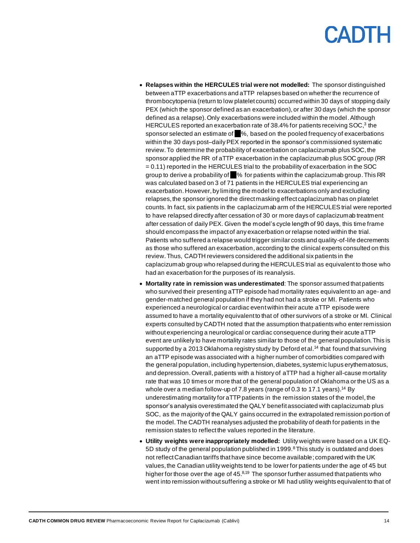- **Relapses within the HERCULES trial were not modelled:** The sponsor distinguished between aTTP exacerbations and aTTP relapses based on whether the recurrence of thrombocytopenia (return to low platelet counts) occurred within 30 days of stopping daily PEX (which the sponsor defined as an exacerbation), or after 30 days (which the sponsor defined as a relapse). Only exacerbations were included within the model. Although HERCULES reported an exacerbation rate of 38.4% for patients receiving SOC,<sup>3</sup> the sponsor selected an estimate of %, based on the pooled frequency of exacerbations within the 30 days post–daily PEX reported in the sponsor's commissioned systematic review. To determine the probability of exacerbation on caplacizumab plus SOC, the sponsor applied the RR of aTTP exacerbation in the caplacizumab plus SOC group (RR = 0.11) reported in the HERCULES trial to the probability of exacerbation in the SOC group to derive a probability of  $\blacksquare$ % for patients within the caplacizumab group. This RR was calculated based on 3 of 71 patients in the HERCULES trial experiencing an exacerbation. However, by limiting the model to exacerbations only and excluding relapses, the sponsor ignored the direct masking effect caplacizumab has on platelet counts. In fact, six patients in the caplacizumab arm of the HERCULES trial were reported to have relapsed directly after cessation of 30 or more days of caplacizumab treatment after cessation of daily PEX. Given the model's cycle length of 90 days, this time frame should encompass the impact of any exacerbation or relapse noted within the trial. Patients who suffered a relapse would trigger similar costs and quality-of-life decrements as those who suffered an exacerbation, according to the clinical experts consulted on this review.Thus, CADTH reviewers considered the additional six patients in the caplacizumab group who relapsed during the HERCULES trial as equivalent to those who had an exacerbation for the purposes of its reanalysis.
- **Mortality rate in remission was underestimated**: The sponsor assumed that patients who survived their presenting aTTP episode had mortality rates equivalent to an age- and gender-matched general population if they had not had a stroke or MI. Patients who experienced a neurological or cardiac eventwithin their acute aTTP episode were assumed to have a mortality equivalent to that of other survivors of a stroke or MI. Clinical experts consulted by CADTH noted that the assumption that patients who enter remission without experiencing a neurological or cardiac consequence during their acute aTTP event are unlikely to have mortality rates similar to those of the general population. This is supported by a 2013 Oklahoma registry study by Deford et al.<sup>14</sup> that found that surviving an aTTP episode was associated with a higher number of comorbidities compared with the general population, including hypertension, diabetes, systemic lupus erythematosus, and depression. Overall, patients with a history of aTTP had a higher all-cause mortality rate that was 10 times or more that of the general population of Oklahoma or the US as a whole over a median follow-up of 7.8 years (range of 0.3 to 17.1 years).<sup>14</sup> By underestimating mortality for aTTP patients in the remission states of the model, the sponsor's analysis overestimated the QALY benefit associated with caplacizumab plus SOC, as the majority of the QALY gains occurred in the extrapolated remission portion of the model.The CADTH reanalyses adjusted the probability of death for patients in the remission states to reflect the values reported in the literature.
- **Utility weights were inappropriately modelled:** Utility weights were based on a UK EQ-5D study of the general population published in 1999.<sup>8</sup> This study is outdated and does not reflect Canadian tariffs that have since become available; compared with the UK values, the Canadian utility weights tend to be lower for patients under the age of 45 but higher for those over the age of  $45.8<sup>19</sup>$  The sponsor further assumed that patients who went into remission without suffering a stroke or MI had utility weights equivalent to that of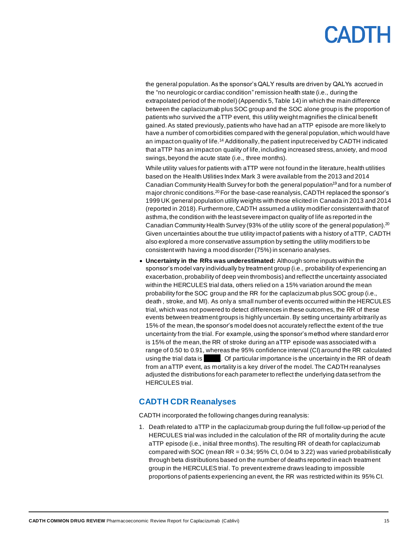the general population. As the sponsor's QALY results are driven by QALYs accrued in the "no neurologic or cardiac condition" remission health state (i.e., during the extrapolated period of the model) (Appendix 5[, Table](#page-31-0) 14) in which the main difference between the caplacizumab plus SOC group and the SOC alone group is the proportion of patients who survived the aTTP event, this utility weight magnifies the clinical benefit gained. As stated previously, patients who have had an aTTP episode are more likely to have a number of comorbidities compared with the general population, which would have an impact on quality of life.<sup>14</sup> Additionally, the patient input received by CADTH indicated that aTTP has an impact on quality of life, including increased stress, anxiety, and mood swings, beyond the acute state (i.e., three months).

While utility values for patients with aTTP were not found in the literature, health utilities based on the Health Utilities Index Mark 3 were available from the 2013 and 2014 Canadian Community Health Survey for both the general population<sup>19</sup> and for a number of major chronic conditions.<sup>20</sup> For the base-case reanalysis, CADTH replaced the sponsor's 1999 UK general population utility weights with those elicited in Canada in 2013 and 2014 (reported in 2018).Furthermore, CADTH assumed a utility modifier consistent with that of asthma, the condition with the least severe impact on quality of life as reported in the Canadian Community Health Survey (93% of the utility score of the general population).<sup>20</sup> Given uncertainties about the true utility impact of patients with a history of aTTP, CADTH also explored a more conservative assumption by setting the utility modifiers to be consistent with having a mood disorder (75%) in scenario analyses.

• **Uncertainty in the RRs was underestimated:** Although some inputs within the sponsor's model vary individually by treatment group (i.e., probability of experiencing an exacerbation, probability of deep vein thrombosis) and reflect the uncertainty associated within the HERCULES trial data, others relied on a 15% variation around the mean probability for the SOC group and the RR for the caplacizumab plus SOC group (i.e., death , stroke, and MI). As only a small number of events occurred within the HERCULES trial, which was not powered to detect differences in these outcomes, the RR of these events between treatment groups is highly uncertain. By setting uncertainty arbitrarily as 15% of the mean, the sponsor's model does not accurately reflect the extent of the true uncertainty from the trial. For example, using the sponsor's method where standard error is 15% of the mean, the RR of stroke during an aTTP episode was associated with a range of 0.50 to 0.91, whereas the 95% confidence interval (CI) around the RR calculated using the trial data is . Of particular importance is the uncertainty in the RR of death from an aTTP event, as mortality is a key driver of the model. The CADTH reanalyses adjusted the distributions for each parameter to reflect the underlying dataset from the HERCULES trial.

#### <span id="page-14-0"></span>**CADTH CDR Reanalyses**

CADTH incorporated the following changes during reanalysis:

1. Death related to aTTP in the caplacizumab group during the full follow-up period of the HERCULES trial was included in the calculation of the RR of mortality during the acute aTTP episode (i.e., initial three months).The resulting RR of death for caplacizumab compared with SOC (mean  $RR = 0.34$ ; 95% CI, 0.04 to 3.22) was varied probabilistically through beta distributions based on the number of deaths reported in each treatment group in the HERCULES trial. To prevent extreme draws leading to impossible proportions of patients experiencing an event, the RR was restricted within its 95% CI.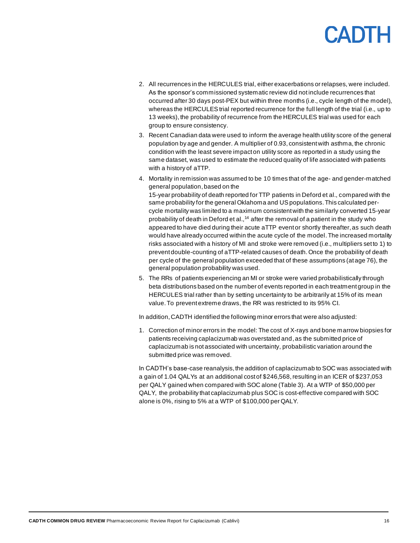- 2. All recurrences in the HERCULES trial, either exacerbations or relapses, were included. As the sponsor's commissioned systematic review did not include recurrences that occurred after 30 days post-PEX but within three months (i.e., cycle length of the model), whereas the HERCULES trial reported recurrence for the full length of the trial (i.e., up to 13 weeks), the probability of recurrence from the HERCULES trial was used for each group to ensure consistency.
- 3. Recent Canadian data were used to inform the average health utility score of the general population by age and gender. A multiplier of 0.93, consistent with asthma, the chronic condition with the least severe impact on utility score as reported in a study using the same dataset, was used to estimate the reduced quality of life associated with patients with a history of aTTP.
- 4. Mortality in remission was assumed to be 10 times that of the age- and gender-matched general population,based on the 15-year probability of death reported for TTP patients in Deford et al., compared with the same probability for the general Oklahoma and US populations. This calculated percycle mortality was limited to a maximum consistent with the similarly converted 15-year probability of death in Deford et al.,<sup>14</sup> after the removal of a patient in the study who appeared to have died during their acute aTTP event or shortly thereafter, as such death would have already occurred within the acute cycle of the model.The increased mortality risks associated with a history of MI and stroke were removed (i.e., multipliers set to 1) to prevent double-counting of aTTP-related causes of death. Once the probability of death per cycle of the general population exceeded that of these assumptions (at age 76), the general population probability was used.
- 5. The RRs of patients experiencing an MI or stroke were varied probabilistically through beta distributions based on the number of events reported in each treatment group in the HERCULES trial rather than by setting uncertainty to be arbitrarily at 15% of its mean value. To prevent extreme draws, the RR was restricted to its 95% CI.

In addition, CADTH identified the following minor errors that were also adjusted:

1. Correction of minor errors in the model: The cost of X-rays and bone marrow biopsies for patients receiving caplacizumab was overstated and, as the submitted price of caplacizumab is not associated with uncertainty, probabilistic variation around the submitted price was removed.

In CADTH's base-case reanalysis, the addition of caplacizumab to SOC was associated with a gain of 1.04 QALYs at an additional cost of \$246,568, resulting in an ICER of \$237,053 per QALY gained when compared with SOC alone [\(Table](#page-16-0) 3). At a WTP of \$50,000 per QALY, the probability that caplacizumab plus SOC is cost-effective compared with SOC alone is 0%, rising to 5% at a WTP of \$100,000 per QALY.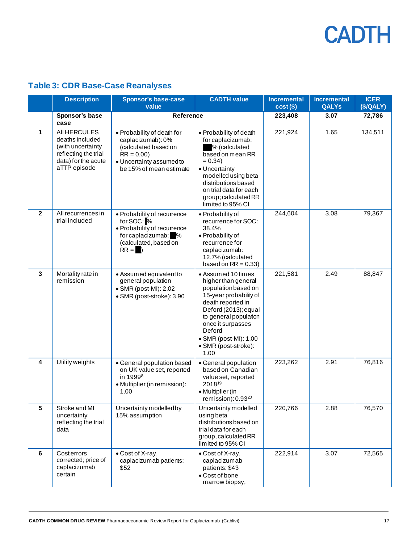### <span id="page-16-0"></span>**Table 3: CDR Base-Case Reanalyses**

|                         | <b>Description</b>                                                                                                  | <b>Sponsor's base-case</b><br>value                                                                                                           | <b>CADTH value</b>                                                                                                                                                                                                                                       | <b>Incremental</b><br>$cost($)$ | <b>Incremental</b><br><b>QALYs</b> | <b>ICER</b><br>(S/QALY) |
|-------------------------|---------------------------------------------------------------------------------------------------------------------|-----------------------------------------------------------------------------------------------------------------------------------------------|----------------------------------------------------------------------------------------------------------------------------------------------------------------------------------------------------------------------------------------------------------|---------------------------------|------------------------------------|-------------------------|
|                         | Sponsor's base<br>case                                                                                              | Reference                                                                                                                                     |                                                                                                                                                                                                                                                          | 223,408                         | 3.07                               | 72,786                  |
| 1                       | All HERCULES<br>deaths included<br>(with uncertainty<br>reflecting the trial<br>data) for the acute<br>aTTP episode | • Probability of death for<br>caplacizumab): 0%<br>(calculated based on<br>$RR = 0.00$<br>· Uncertainty assumed to<br>be 15% of mean estimate | • Probability of death<br>for caplacizumab:<br>% (calculated<br>based on mean RR<br>$= 0.34$<br>• Uncertainty<br>modelled using beta<br>distributions based<br>on trial data for each<br>group; calculated RR<br>limited to 95% CI                       | 221,924                         | 1.65                               | 134,511                 |
| $\overline{2}$          | All recurrences in<br>trial included                                                                                | • Probability of recurrence<br>for SOC: %<br>• Probability of recurrence<br>for caplacizumab: %<br>(calculated, based on<br>$RR =$            | · Probability of<br>recurrence for SOC:<br>38.4%<br>· Probability of<br>recurrence for<br>caplacizumab:<br>12.7% (calculated<br>based on $RR = 0.33$ )                                                                                                   | 244,604                         | 3.08                               | 79,367                  |
| 3                       | Mortality rate in<br>remission                                                                                      | • Assumed equivalent to<br>general population<br>• SMR (post-MI): 2.02<br>· SMR (post-stroke): 3.90                                           | • Assumed 10 times<br>higher than general<br>population based on<br>15-year probability of<br>death reported in<br>Deford (2013); equal<br>to general population<br>once it surpasses<br>Deford<br>• SMR (post-MI): 1.00<br>• SMR (post-stroke):<br>1.00 | 221,581                         | 2.49                               | 88,847                  |
| $\overline{\mathbf{4}}$ | Utility weights                                                                                                     | • General population based<br>on UK value set, reported<br>in 1999 <sup>8</sup><br>• Multiplier (in remission):<br>1.00                       | • General population<br>based on Canadian<br>value set, reported<br>201819<br>• Multiplier (in<br>remission): 0.93 <sup>20</sup>                                                                                                                         | 223,262                         | 2.91                               | 76,816                  |
| 5                       | Stroke and MI<br>uncertainty<br>reflecting the trial<br>data                                                        | Uncertainty modelled by<br>15% assumption                                                                                                     | Uncertainty modelled<br>using beta<br>distributions based on<br>trial data for each<br>group, calculated RR<br>limited to 95% CI                                                                                                                         | 220,766                         | 2.88                               | 76,570                  |
| 6                       | Costerrors<br>corrected; price of<br>caplacizumab<br>certain                                                        | • Cost of X-ray,<br>caplacizumab patients:<br>\$52                                                                                            | • Cost of X-ray,<br>caplacizumab<br>patients: \$43<br>• Cost of bone<br>marrow biopsy,                                                                                                                                                                   | 222,914                         | 3.07                               | 72,565                  |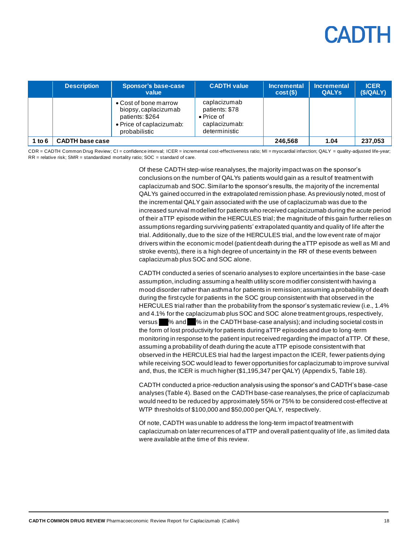|          | <b>Description</b>     | <b>Sponsor's base-case</b><br>value                                                                           | <b>CADTH value</b>                                                                     | <b>Incremental</b><br>cost(S) | <b>Incremental</b><br><b>QALYs</b> | <b>ICER</b><br>(S/QALY) |
|----------|------------------------|---------------------------------------------------------------------------------------------------------------|----------------------------------------------------------------------------------------|-------------------------------|------------------------------------|-------------------------|
|          |                        | • Cost of bone marrow<br>biopsy, caplacizumab<br>patients: \$264<br>• Price of caplacizumab:<br>probabilistic | caplacizumab<br>patients: \$78<br>$\bullet$ Price of<br>caplacizumab:<br>deterministic |                               |                                    |                         |
| 1 to $6$ | <b>CADTH base case</b> |                                                                                                               |                                                                                        | 246,568                       | 1.04                               | 237,053                 |

CDR = CADTH Common Drug Review; CI = confidence interval; ICER = incremental cost-effectiveness ratio; MI = myocardial infarction; QALY = quality-adjusted life-year;  $RR =$  relative risk; SMR = standardized mortality ratio; SOC = standard of care.

> Of these CADTH step-wise reanalyses, the majority impact was on the sponsor's conclusions on the number of QALYs patients would gain as a result of treatment with caplacizumab and SOC. Similar to the sponsor's results, the majority of the incremental QALYs gained occurred in the extrapolated remission phase. As previously noted, most of the incremental QALY gain associated with the use of caplacizumab was due to the increased survival modelled for patients who received caplacizumab during the acute period of their aTTP episode within the HERCULES trial; the magnitude of this gain further relies on assumptions regarding surviving patients' extrapolated quantity and quality of life after the trial. Additionally, due to the size of the HERCULES trial, and the low event rate of major drivers within the economic model (patient death during the aTTP episode as well as MI and stroke events), there is a high degree of uncertainty in the RR of these events between caplacizumab plus SOC and SOC alone.

> CADTH conducted a series of scenario analyses to explore uncertainties in the base-case assumption, including: assuming a health utility score modifier consistent with having a mood disorder rather than asthma for patients in remission; assuming a probability of death during the first cycle for patients in the SOC group consistent with that observed in the HERCULES trial rather than the probability from the sponsor's systematic review (i.e., 1.4% and 4.1% for the caplacizumab plus SOC and SOC alone treatment groups, respectively, versus  $\%$  and  $\%$  in the CADTH base-case analysis); and including societal costs in the form of lost productivity for patients during aTTP episodes and due to long-term monitoring in response to the patient input received regarding the impact of aTTP. Of these, assuming a probability of death during the acute aTTP episode consistent with that observed in the HERCULES trial had the largest impact on the ICER, fewer patients dying while receiving SOC would lead to fewer opportunities for caplacizumab to improve survival and, thus, the ICER is much higher (\$1,195,347 per QALY) (Appendix 5[, Table](#page-33-0) 18).

> CADTH conducted a price-reduction analysis using the sponsor's and CADTH's base-case analyses [\(Table](#page-18-1) 4). Based on the CADTH base-case reanalyses, the price of caplacizumab would need to be reduced by approximately 55% or 75% to be considered cost-effective at WTP thresholds of \$100,000 and \$50,000 per QALY, respectively.

> Of note, CADTH was unable to address the long-term impact of treatment with caplacizumab on later recurrences of aTTP and overall patient quality of life, as limited data were available at the time of this review.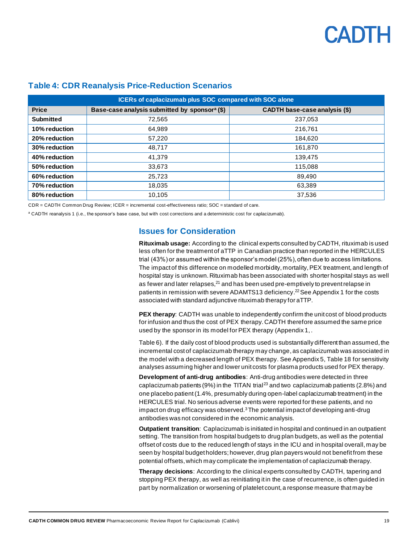| ICERs of caplacizumab plus SOC compared with SOC alone |                                                           |                                      |  |  |  |
|--------------------------------------------------------|-----------------------------------------------------------|--------------------------------------|--|--|--|
| <b>Price</b>                                           | Base-case analysis submitted by sponsor <sup>a</sup> (\$) | <b>CADTH base-case analysis (\$)</b> |  |  |  |
| <b>Submitted</b>                                       | 72,565                                                    | 237,053                              |  |  |  |
| 10% reduction                                          | 64.989                                                    | 216.761                              |  |  |  |
| 20% reduction                                          | 57,220                                                    | 184.620                              |  |  |  |
| 30% reduction                                          | 48.717                                                    | 161.870                              |  |  |  |
| 40% reduction                                          | 41.379                                                    | 139.475                              |  |  |  |
| 50% reduction                                          | 33,673                                                    | 115.088                              |  |  |  |
| 60% reduction                                          | 25.723                                                    | 89,490                               |  |  |  |
| 70% reduction                                          | 18,035                                                    | 63,389                               |  |  |  |
| 80% reduction                                          | 10.105                                                    | 37,536                               |  |  |  |

#### <span id="page-18-1"></span>**Table 4: CDR Reanalysis Price-Reduction Scenarios**

CDR = CADTH Common Drug Review; ICER = incremental cost-effectiveness ratio; SOC = standard of care.

<span id="page-18-0"></span><sup>a</sup> CADTH reanalysis 1 (i.e., the sponsor's base case, but with cost corrections and a deterministic cost for caplacizumab).

#### **Issues for Consideration**

**Rituximab usage:** According to the clinical experts consulted by CADTH, rituximab is used less often for the treatment of aTTP in Canadian practice than reported in the HERCULES trial (43%) or assumed within the sponsor's model (25%), often due to access limitations. The impact of this difference on modelled morbidity, mortality, PEX treatment, and length of hospital stay is unknown. Rituximab has been associated with shorter hospital stays as well as fewer and later relapses, $^{21}$  and has been used pre-emptively to prevent relapse in patients in remission with severe ADAMTS13 deficiency.<sup>22</sup> Se[e Appendix 1](#page-21-0) for the costs associated with standard adjunctive rituximab therapy for aTTP.

**PEX therapy**: CADTH was unable to independently confirm the unit cost of blood products for infusion and thus the cost of PEX therapy. CADTH therefore assumed the same price used by the sponsor in its model for PEX therapy (Appendix 1[, .](#page-21-3)

[Table](#page-21-3) 6). If the daily cost of blood products used is substantially different than assumed, the incremental cost of caplacizumab therapy may change, as caplacizumab was associated in the model with a decreased length of PEX therapy. See Appendix 5[, Table](#page-33-0) 18 for sensitivity analyses assuming higher and lower unit costs for plasma products used for PEX therapy.

**Development of anti-drug antibodies**: Anti-drug antibodies were detected in three caplacizumab patients (9%) in the TITAN trial<sup>23</sup> and two caplacizumab patients (2.8%) and one placebo patient (1.4%, presumably during open-label caplacizumab treatment) in the HERCULES trial. No serious adverse events were reported for these patients, and no impact on drug efficacy was observed. $3$ The potential impact of developing anti-drug antibodies was not considered in the economic analysis.

**Outpatient transition**: Caplacizumab is initiated in hospital and continued in an outpatient setting. The transition from hospital budgets to drug plan budgets, as well as the potential offset of costs due to the reduced length of stays in the ICU and in hospital overall, may be seen by hospital budget holders; however, drug plan payers would not benefit from these potential offsets,which may complicate the implementation of caplacizumab therapy.

**Therapy decisions**: According to the clinical experts consulted by CADTH, tapering and stopping PEX therapy, as well as reinitiating it in the case of recurrence, is often guided in part by normalization or worsening of platelet count, a response measure that may be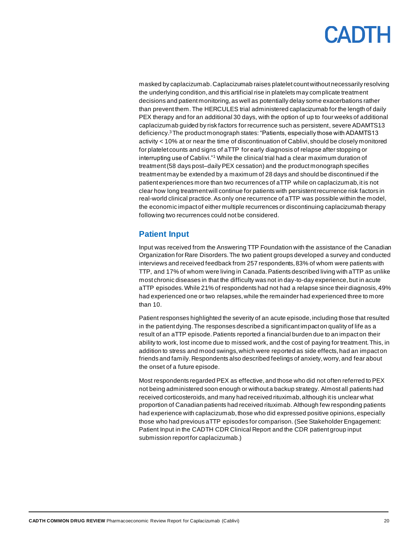masked by caplacizumab. Caplacizumab raises platelet count without necessarily resolving the underlying condition, and this artificial rise in platelets may complicate treatment decisions and patient monitoring, as well as potentially delay some exacerbations rather than prevent them. The HERCULES trial administered caplacizumab for the length of daily PEX therapy and for an additional 30 days, with the option of up to four weeks of additional caplacizumab guided by risk factors for recurrence such as persistent, severe ADAMTS13 deficiency. <sup>3</sup>The product monograph states: "Patients, especially those with ADAMTS13 activity < 10% at or near the time of discontinuation of Cablivi, should be closely monitored for platelet counts and signs of aTTP for early diagnosis of relapse after stopping or interrupting use of Cablivi."<sup>1</sup> While the clinical trial had a clear maximum duration of treatment (58 days post–daily PEX cessation) and the product monograph specifies treatment may be extended by a maximum of 28 days and should be discontinued if the patient experiences more than two recurrences of aTTP while on caplacizumab, it is not clear how long treatment will continue for patients with persistent recurrence risk factors in real-world clinical practice. As only one recurrence of aTTP was possible within the model, the economic impact of either multiple recurrences or discontinuing caplacizumab therapy following two recurrences could not be considered.

#### <span id="page-19-0"></span>**Patient Input**

Input was received from the Answering TTP Foundation with the assistance of the Canadian Organization for Rare Disorders. The two patient groups developed a survey and conducted interviews and received feedback from 257 respondents, 83% of whom were patients with TTP, and 17% of whom were living in Canada. Patients described living with aTTP as unlike most chronic diseases in that the difficulty was not in day-to-day experience, but in acute aTTP episodes. While 21% of respondents had not had a relapse since their diagnosis, 49% had experienced one or two relapses, while the remainder had experienced three to more than 10.

Patient responses highlighted the severity of an acute episode, including those that resulted in the patient dying. The responses described a significant impact on quality of life as a result of an aTTP episode. Patients reported a financial burden due to an impact on their ability to work, lost income due to missed work, and the cost of paying for treatment. This, in addition to stress and mood swings, which were reported as side effects, had an impact on friends and family. Respondents also described feelings of anxiety, worry, and fear about the onset of a future episode.

Most respondents regarded PEX as effective, and those who did not often referred to PEX not being administered soon enough or without a backup strategy. Almost all patients had received corticosteroids, and many had received rituximab, although it is unclear what proportion of Canadian patients had received rituximab. Although few responding patients had experience with caplacizumab, those who did expressed positive opinions, especially those who had previous aTTP episodes for comparison. (See Stakeholder Engagement: Patient Input in the CADTH CDR Clinical Report and the CDR patient group input submission report for caplacizumab.)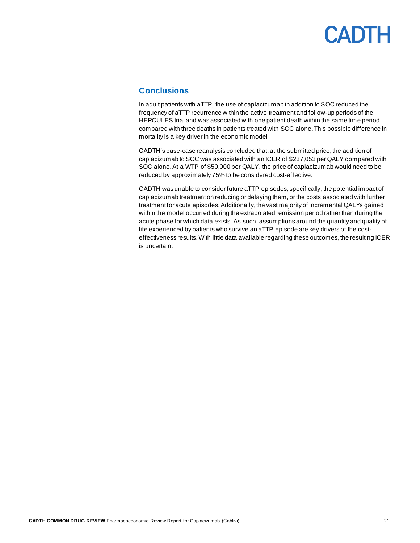#### <span id="page-20-0"></span>**Conclusions**

In adult patients with aTTP, the use of caplacizumab in addition to SOC reduced the frequency of aTTP recurrence within the active treatment and follow-up periods of the HERCULES trial and was associated with one patient death within the same time period, compared with three deaths in patients treated with SOC alone. This possible difference in mortality is a key driver in the economic model.

CADTH's base-case reanalysis concluded that, at the submitted price, the addition of caplacizumab to SOC was associated with an ICER of \$237,053 per QALY compared with SOC alone. At a WTP of \$50,000 per QALY, the price of caplacizumab would need to be reduced by approximately 75% to be considered cost-effective.

CADTH was unable to consider future aTTP episodes, specifically, the potential impact of caplacizumab treatment on reducing or delaying them, or the costs associated with further treatment for acute episodes. Additionally, the vast majority of incremental QALYs gained within the model occurred during the extrapolated remission period rather than during the acute phase for which data exists. As such, assumptions around the quantity and quality of life experienced by patients who survive an aTTP episode are key drivers of the costeffectiveness results. With little data available regarding these outcomes, the resulting ICER is uncertain.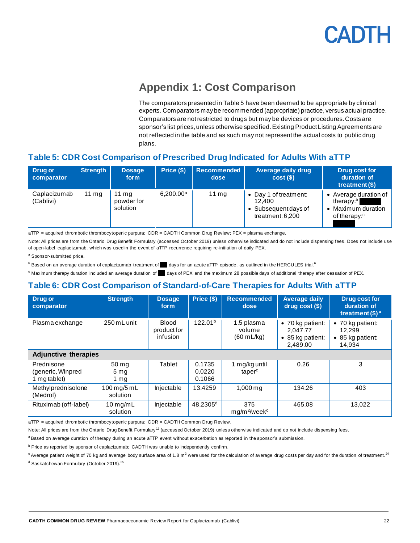<span id="page-21-3"></span>

### **Appendix 1: Cost Comparison**

The comparators presented i[n Table](#page-21-1) 5 have been deemed to be appropriate by clinical experts. Comparators may be recommended (appropriate) practice, versus actual practice. Comparators are not restricted to drugs but may be devices or procedures. Costs are sponsor's list prices, unless otherwise specified. Existing Product Listing Agreements are not reflected in the table and as such may not represent the actual costs to public drug plans.

#### <span id="page-21-1"></span><span id="page-21-0"></span>**Table 5: CDR Cost Comparison of Prescribed Drug Indicated for Adults With aTTP**

| Drug or<br>comparator     | <b>Strength</b> | <b>Dosage</b><br>form                    | Price (\$)   | Recommended<br>dose | <b>Average daily drug</b><br>$cost(\$))$                                      | <b>Drug cost for</b><br>duration of<br>treatment $(S)$                                         |
|---------------------------|-----------------|------------------------------------------|--------------|---------------------|-------------------------------------------------------------------------------|------------------------------------------------------------------------------------------------|
| Caplacizumab<br>(Cablivi) | $11 \text{ mg}$ | $11 \text{ mg}$<br>powderfor<br>solution | $6.200.00^a$ | $11 \text{ mg}$     | • Day 1 of treatment:<br>12.400<br>• Subsequent days of<br>treatment: $6,200$ | Average duration of  <br>therapy: <sup>b</sup><br>Maximum duration<br>of therapy: <sup>c</sup> |

aTTP = acquired thrombotic thrombocytopenic purpura; CDR = CADTH Common Drug Review; PEX = plasma exchange.

Note: All prices are from the Ontario Drug Benefit Formulary (accessed October 2019) unless otherwise indicated and do not include dispensing fees. Does not include use of open-label caplacizumab, which was used in the event of aTTP recurrence requiring re-initiation of daily PEX.

<sup>a</sup> Sponsor-submitted price.

 $^{\rm b}$  Based on an average duration of caplacizumab treatment of  $^-$  days for an acute aTTP episode, as outlined in the HERCULES trial.<sup>6</sup>

<sup>c</sup> Maximum therapy duration included an average duration of days of PEX and the maximum 28 possible days of additional therapy after cessation of PEX.

#### <span id="page-21-2"></span>**Table 6: CDR Cost Comparison of Standard-of-Care Therapies for Adults With aTTP**

| Drug or<br>comparator                           | <b>Strength</b>                  | <b>Dosage</b><br>form                   | Price (\$)                 | <b>Recommended</b><br>dose                   | <b>Average daily</b><br>$drug cost (§)$                              | <b>Drug cost for</b><br>duration of<br>treatment $(\$)^a$ |
|-------------------------------------------------|----------------------------------|-----------------------------------------|----------------------------|----------------------------------------------|----------------------------------------------------------------------|-----------------------------------------------------------|
| Plasma exchange                                 | 250 mL unit                      | <b>Blood</b><br>product for<br>infusion | 122.01 <sup>b</sup>        | 1.5 plasma<br>volume<br>$(60 \text{ mL/kg})$ | $\bullet$ 70 kg patient:<br>2.047.77<br>• 85 kg patient:<br>2,489.00 | • 70 kg patient:<br>12.299<br>• 85 kg patient:<br>14,934  |
| <b>Adjunctive therapies</b>                     |                                  |                                         |                            |                                              |                                                                      |                                                           |
| Prednisone<br>(generic, Winpred<br>1 mg tablet) | 50 mg<br>5 <sub>mg</sub><br>1 mg | Tablet                                  | 0.1735<br>0.0220<br>0.1066 | 1 mg/kg until<br>taper <sup>c</sup>          | 0.26                                                                 | 3                                                         |
| Methylprednisolone<br>(Medrol)                  | 100 mg/5 mL<br>solution          | Injectable                              | 13.4259                    | $1,000 \,\mathrm{mg}$                        | 134.26                                                               | 403                                                       |
| Rituximab (off-label)                           | $10$ mg/mL<br>solution           | Injectable                              | $48.2305$ <sup>d</sup>     | 375<br>$mg/m^2$ /week <sup>c</sup>           | 465.08                                                               | 13,022                                                    |

aTTP = acquired thrombotic thrombocytopenic purpura; CDR = CADTH Common Drug Review.

Note: All prices are from the Ontario Drug Benefit Formulary<sup>12</sup> (accessed October 2019) unless otherwise indicated and do not include dispensing fees.

a Based on average duration of therapy during an acute aTTP event without exacerbation as reported in the sponsor's submission.

b Price as reported by sponsor of caplacizumab; CADTH was unable to independently confirm.

 $^c$  Average patient weight of 70 kg and average body surface area of 1.8 m<sup>2</sup> were used for the calculation of average drug costs per day and for the duration of treatment.<sup>24</sup>

<sup>d</sup> Saskatchewan Formulary (October 2019).<sup>25</sup>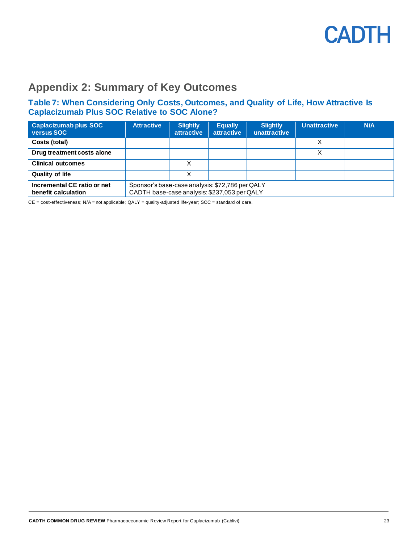

### <span id="page-22-0"></span>**Appendix 2: Summary of Key Outcomes**

#### <span id="page-22-1"></span>**Table 7: When Considering Only Costs, Outcomes, and Quality of Life, How Attractive Is Caplacizumab Plus SOC Relative to SOC Alone?**

| Caplacizumab plus SOC<br>versus SOC                | <b>Attractive</b> | <b>Slightly</b><br><b>attractive</b>                                                            | <b>Equally</b><br><b>attractive</b> | <b>Slightly</b><br>unattractive | <b>Unattractive</b> | N/A |  |
|----------------------------------------------------|-------------------|-------------------------------------------------------------------------------------------------|-------------------------------------|---------------------------------|---------------------|-----|--|
| Costs (total)                                      |                   |                                                                                                 |                                     |                                 |                     |     |  |
| Drug treatment costs alone                         |                   |                                                                                                 |                                     |                                 | Χ                   |     |  |
| <b>Clinical outcomes</b>                           |                   |                                                                                                 |                                     |                                 |                     |     |  |
| <b>Quality of life</b>                             |                   |                                                                                                 |                                     |                                 |                     |     |  |
| Incremental CE ratio or net<br>benefit calculation |                   | Sponsor's base-case analysis: \$72,786 per QALY<br>CADTH base-case analysis: \$237,053 per QALY |                                     |                                 |                     |     |  |

CE = cost-effectiveness; N/A = not applicable; QALY = quality-adjusted life-year; SOC = standard of care.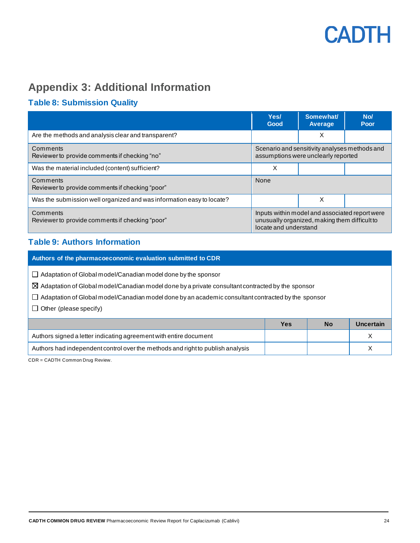

### <span id="page-23-0"></span>**Appendix 3: Additional Information**

### <span id="page-23-1"></span>**Table 8: Submission Quality**

|                                                                       | Yes/<br>Good                                                                         | Somewhat/<br><b>Average</b>                                                                     | No/<br>Poor |
|-----------------------------------------------------------------------|--------------------------------------------------------------------------------------|-------------------------------------------------------------------------------------------------|-------------|
| Are the methods and analysis clear and transparent?                   |                                                                                      | X                                                                                               |             |
| Comments<br>Reviewer to provide comments if checking "no"             | Scenario and sensitivity analyses methods and<br>assumptions were unclearly reported |                                                                                                 |             |
| Was the material included (content) sufficient?                       | X                                                                                    |                                                                                                 |             |
| Comments<br>Reviewer to provide comments if checking "poor"           | None                                                                                 |                                                                                                 |             |
| Was the submission well organized and was information easy to locate? |                                                                                      | X                                                                                               |             |
| Comments<br>Reviewer to provide comments if checking "poor"           | locate and understand                                                                | Inputs within model and associated report were<br>unusually organized, making them difficult to |             |

#### <span id="page-23-2"></span>**Table 9: Authors Information**

| Authors of the pharmacoeconomic evaluation submitted to CDR                                                                                                                                                                                                                                                                     |            |           |           |  |  |  |  |
|---------------------------------------------------------------------------------------------------------------------------------------------------------------------------------------------------------------------------------------------------------------------------------------------------------------------------------|------------|-----------|-----------|--|--|--|--|
| $\Box$ Adaptation of Global model/Canadian model done by the sponsor<br>$\boxtimes$ Adaptation of Global model/Canadian model done by a private consultant contracted by the sponsor<br>Adaptation of Global model/Canadian model done by an academic consultant contracted by the sponsor<br>Other (please specify)<br>$\perp$ |            |           |           |  |  |  |  |
|                                                                                                                                                                                                                                                                                                                                 | <b>Yes</b> | <b>No</b> | Uncertain |  |  |  |  |
| Authors signed a letter indicating agreement with entire document                                                                                                                                                                                                                                                               |            |           | X         |  |  |  |  |
| Authors had independent control over the methods and right to publish analysis                                                                                                                                                                                                                                                  |            |           | X         |  |  |  |  |

CDR = CADTH Common Drug Review.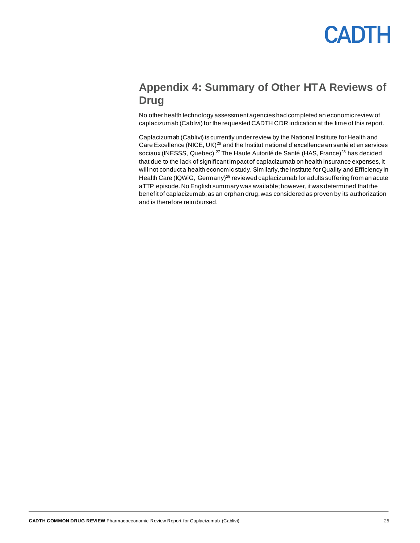### <span id="page-24-0"></span>**Appendix 4: Summary of Other HTA Reviews of Drug**

No other health technology assessment agencies had completed an economic review of caplacizumab (Cablivi) for the requested CADTH CDR indication at the time of this report.

Caplacizumab (Cablivi) is currently under review by the National Institute for Health and Care Excellence (NICE, UK)<sup>26</sup> and the Institut national d'excellence en santé et en services sociaux (INESSS, Quebec).<sup>27</sup> The Haute Autorité de Santé (HAS, France)<sup>28</sup> has decided that due to the lack of significant impact of caplacizumab on health insurance expenses, it will not conduct a health economic study. Similarly, the Institute for Quality and Efficiency in Health Care (IQWiG, Germany)<sup>29</sup> reviewed caplacizumab for adults suffering from an acute aTTP episode. No English summary was available; however, it was determined that the benefit of caplacizumab, as an orphan drug, was considered as proven by its authorization and is therefore reimbursed.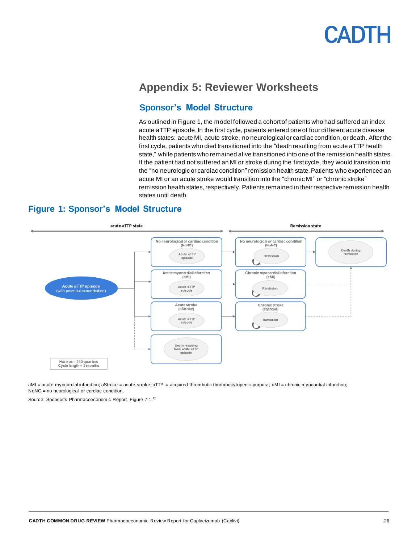### <span id="page-25-0"></span>**Appendix 5: Reviewer Worksheets**

#### **Sponsor's Model Structure**

As outlined in Figure 1, the model followed a cohort of patients who had suffered an index acute aTTP episode. In the first cycle, patients entered one of four different acute disease health states: acute MI, acute stroke, no neurological or cardiac condition, or death. After the first cycle, patients who died transitioned into the "death resulting from acute aTTP health state," while patients who remained alive transitioned into one of the remission health states. If the patient had not suffered an MI or stroke during the first cycle, they would transition into the "no neurologic or cardiac condition" remission health state. Patients who experienced an acute MI or an acute stroke would transition into the "chronic MI" or "chronic stroke" remission health states, respectively. Patients remained in their respective remission health states until death.

#### <span id="page-25-1"></span>**Figure 1: Sponsor's Model Structure**



aMI = acute myocardial infarction; aStroke = acute stroke; aTTP = acquired thrombotic thrombocytopenic purpura; cMI = chronic myocardial infarction; NoNC = no neurological or cardiac condition.

Source: Sponsor's Pharmacoeconomic Report, Figure 7-1.<sup>15</sup>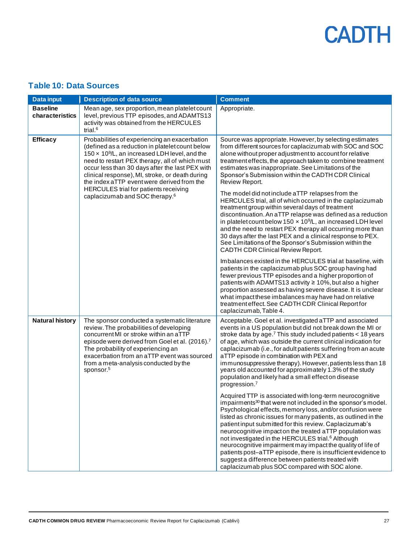#### <span id="page-26-0"></span>**Table 10: Data Sources**

| <b>Data input</b>                  | <b>Description of data source</b>                                                                                                                                                                                                                                                                                                                                                                                                                                 | <b>Comment</b>                                                                                                                                                                                                                                                                                                                                                                                                                                                                                                                                                                                                                                                                                      |
|------------------------------------|-------------------------------------------------------------------------------------------------------------------------------------------------------------------------------------------------------------------------------------------------------------------------------------------------------------------------------------------------------------------------------------------------------------------------------------------------------------------|-----------------------------------------------------------------------------------------------------------------------------------------------------------------------------------------------------------------------------------------------------------------------------------------------------------------------------------------------------------------------------------------------------------------------------------------------------------------------------------------------------------------------------------------------------------------------------------------------------------------------------------------------------------------------------------------------------|
| <b>Baseline</b><br>characteristics | Mean age, sex proportion, mean platelet count<br>level, previous TTP episodes, and ADAMTS13<br>activity was obtained from the HERCULES<br>trial. <sup>6</sup>                                                                                                                                                                                                                                                                                                     | Appropriate.                                                                                                                                                                                                                                                                                                                                                                                                                                                                                                                                                                                                                                                                                        |
| <b>Efficacy</b>                    | Probabilities of experiencing an exacerbation<br>(defined as a reduction in platelet count below<br>150 x 10 <sup>9</sup> /L, an increased LDH level, and the<br>need to restart PEX therapy, all of which must<br>occur less than 30 days after the last PEX with<br>clinical response), MI, stroke, or death during<br>the index aTTP event were derived from the<br><b>HERCULES</b> trial for patients receiving<br>caplacizumab and SOC therapy. <sup>6</sup> | Source was appropriate. However, by selecting estimates<br>from different sources for caplacizumab with SOC and SOC<br>alone without proper adjustment to account for relative<br>treatment effects, the approach taken to combine treatment<br>estimates was inappropriate. See Limitations of the<br>Sponsor's Submission within the CADTH CDR Clinical<br>Review Report.<br>The model did not include aTTP relapses from the<br>HERCULES trial, all of which occurred in the caplacizumab                                                                                                                                                                                                        |
|                                    |                                                                                                                                                                                                                                                                                                                                                                                                                                                                   | treatment group within several days of treatment<br>discontinuation. An aTTP relapse was defined as a reduction<br>in platelet count below 150 $\times$ 10 <sup>9</sup> /L, an increased LDH level<br>and the need to restart PEX therapy all occurring more than<br>30 days after the last PEX and a clinical response to PEX.<br>See Limitations of the Sponsor's Submission within the<br>CADTH CDR Clinical Review Report.                                                                                                                                                                                                                                                                      |
|                                    |                                                                                                                                                                                                                                                                                                                                                                                                                                                                   | Imbalances existed in the HERCULES trial at baseline, with<br>patients in the caplacizumab plus SOC group having had<br>fewer previous TTP episodes and a higher proportion of<br>patients with ADAMTS13 activity ≥ 10%, but also a higher<br>proportion assessed as having severe disease. It is unclear<br>what impact these imbalances may have had on relative<br>treatment effect. See CADTH CDR Clinical Report for<br>caplacizumab, Table 4.                                                                                                                                                                                                                                                 |
| <b>Natural history</b>             | The sponsor conducted a systematic literature<br>review. The probabilities of developing<br>concurrent MI or stroke within an aTTP<br>episode were derived from Goel et al. (2016). <sup>7</sup><br>The probability of experiencing an<br>exacerbation from an aTTP event was sourced<br>from a meta-analysis conducted by the<br>sponsor. <sup>5</sup>                                                                                                           | Acceptable. Goel et al. investigated aTTP and associated<br>events in a US population but did not break down the MI or<br>stroke data by age. <sup>7</sup> This study included patients < 18 years<br>of age, which was outside the current clinical indication for<br>caplacizumab (i.e., for adult patients suffering from an acute<br>aTTP episode in combination with PEX and<br>immunosuppressive therapy). However, patients less than 18<br>years old accounted for approximately 1.3% of the study<br>population and likely had a small effect on disease<br>progression. <sup>7</sup>                                                                                                      |
|                                    |                                                                                                                                                                                                                                                                                                                                                                                                                                                                   | Acquired TTP is associated with long-term neurocognitive<br>impairments <sup>30</sup> that were not included in the sponsor's model.<br>Psychological effects, memory loss, and/or confusion were<br>listed as chronic issues for many patients, as outlined in the<br>patient input submitted for this review. Caplacizumab's<br>neurocognitive impact on the treated aTTP population was<br>not investigated in the HERCULES trial. <sup>6</sup> Although<br>neurocognitive impairment may impact the quality of life of<br>patients post-aTTP episode, there is insufficient evidence to<br>suggest a difference between patients treated with<br>caplacizumab plus SOC compared with SOC alone. |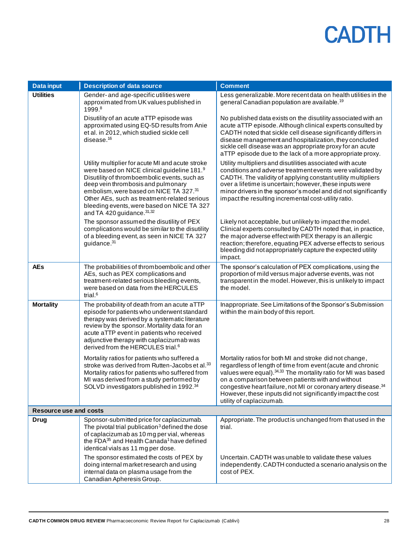| Data input                    | <b>Description of data source</b>                                                                                                                                                                                                                                                                                                                           | <b>Comment</b>                                                                                                                                                                                                                                                                                                                                                                                                        |
|-------------------------------|-------------------------------------------------------------------------------------------------------------------------------------------------------------------------------------------------------------------------------------------------------------------------------------------------------------------------------------------------------------|-----------------------------------------------------------------------------------------------------------------------------------------------------------------------------------------------------------------------------------------------------------------------------------------------------------------------------------------------------------------------------------------------------------------------|
| <b>Utilities</b>              | Gender- and age-specific utilities were<br>approximated from UK values published in<br>1999.8                                                                                                                                                                                                                                                               | Less generalizable. More recent data on health utilities in the<br>general Canadian population are available. <sup>19</sup>                                                                                                                                                                                                                                                                                           |
|                               | Disutility of an acute aTTP episode was<br>approximated using EQ-5D results from Anie<br>et al. in 2012, which studied sickle cell<br>disease. <sup>16</sup>                                                                                                                                                                                                | No published data exists on the disutility associated with an<br>acute aTTP episode. Although clinical experts consulted by<br>CADTH noted that sickle cell disease significantly differs in<br>disease management and hospitalization, they concluded<br>sickle cell disease was an appropriate proxy for an acute<br>aTTP episode due to the lack of a more appropriate proxy.                                      |
|                               | Utility multiplier for acute MI and acute stroke<br>were based on NICE clinical guideline 181.9<br>Disutility of thromboembolic events, such as<br>deep vein thrombosis and pulmonary<br>embolism, were based on NICE TA 327.31<br>Other AEs, such as treatment-related serious<br>bleeding events, were based on NICE TA 327<br>and TA 420 guidance. 31,32 | Utility multipliers and disutilities associated with acute<br>conditions and adverse treatment events were validated by<br>CADTH. The validity of applying constant utility multipliers<br>over a lifetime is uncertain; however, these inputs were<br>minor drivers in the sponsor's model and did not significantly<br>impact the resulting incremental cost-utility ratio.                                         |
|                               | The sponsor assumed the disutility of PEX<br>complications would be similar to the disutility<br>of a bleeding event, as seen in NICE TA 327<br>guidance. <sup>31</sup>                                                                                                                                                                                     | Likely not acceptable, but unlikely to impact the model.<br>Clinical experts consulted by CADTH noted that, in practice,<br>the major adverse effect with PEX therapy is an allergic<br>reaction; therefore, equating PEX adverse effects to serious<br>bleeding did not appropriately capture the expected utility<br>impact.                                                                                        |
| <b>AEs</b>                    | The probabilities of thromboembolic and other<br>AEs, such as PEX complications and<br>treatment-related serious bleeding events,<br>were based on data from the HERCULES<br>trial. $6$                                                                                                                                                                     | The sponsor's calculation of PEX complications, using the<br>proportion of mild versus major adverse events, was not<br>transparent in the model. However, this is unlikely to impact<br>the model.                                                                                                                                                                                                                   |
| <b>Mortality</b>              | The probability of death from an acute aTTP<br>episode for patients who underwent standard<br>therapy was derived by a systematic literature<br>review by the sponsor. Mortality data for an<br>acute aTTP event in patients who received<br>adjunctive therapy with caplacizumab was<br>derived from the HERCULES trial. <sup>6</sup>                      | Inappropriate. See Limitations of the Sponsor's Submission<br>within the main body of this report.                                                                                                                                                                                                                                                                                                                    |
|                               | Mortality ratios for patients who suffered a<br>stroke was derived from Rutten-Jacobs et al. <sup>33</sup><br>Mortality ratios for patients who suffered from<br>MI was derived from a study performed by<br>SOLVD investigators published in 1992.34                                                                                                       | Mortality ratios for both MI and stroke did not change,<br>regardless of length of time from event (acute and chronic<br>values were equal). 34,33 The mortality ratio for MI was based<br>on a comparison between patients with and without<br>congestive heart failure, not MI or coronary artery disease. <sup>34</sup><br>However, these inputs did not significantly impact the cost<br>utility of caplacizumab. |
| <b>Resource use and costs</b> |                                                                                                                                                                                                                                                                                                                                                             |                                                                                                                                                                                                                                                                                                                                                                                                                       |
| <b>Drug</b>                   | Sponsor-submitted price for caplacizumab.<br>The pivotal trial publication <sup>3</sup> defined the dose<br>of caplacizumab as 10 mg per vial, whereas<br>the FDA <sup>35</sup> and Health Canada <sup>1</sup> have defined<br>identical vials as 11 mg per dose.                                                                                           | Appropriate. The product is unchanged from that used in the<br>trial.                                                                                                                                                                                                                                                                                                                                                 |
|                               | The sponsor estimated the costs of PEX by<br>doing internal market research and using<br>internal data on plasma usage from the<br>Canadian Apheresis Group.                                                                                                                                                                                                | Uncertain. CADTH was unable to validate these values<br>independently. CADTH conducted a scenario analysis on the<br>cost of PEX.                                                                                                                                                                                                                                                                                     |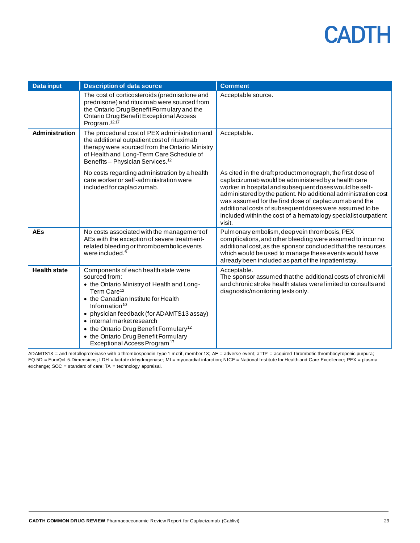| <b>Data input</b>   | <b>Description of data source</b>                                                                                                                                                                                                                                                                                                                                                                              | <b>Comment</b>                                                                                                                                                                                                                                                                                                                                                                                                                                 |
|---------------------|----------------------------------------------------------------------------------------------------------------------------------------------------------------------------------------------------------------------------------------------------------------------------------------------------------------------------------------------------------------------------------------------------------------|------------------------------------------------------------------------------------------------------------------------------------------------------------------------------------------------------------------------------------------------------------------------------------------------------------------------------------------------------------------------------------------------------------------------------------------------|
|                     | The cost of corticosteroids (prednisolone and<br>prednisone) and rituximab were sourced from<br>the Ontario Drug Benefit Formulary and the<br>Ontario Drug Benefit Exceptional Access<br>Program. <sup>12,17</sup>                                                                                                                                                                                             | Acceptable source.                                                                                                                                                                                                                                                                                                                                                                                                                             |
| Administration      | The procedural cost of PEX administration and<br>the additional outpatient cost of rituximab<br>therapy were sourced from the Ontario Ministry<br>of Health and Long-Term Care Schedule of<br>Benefits - Physician Services. <sup>12</sup>                                                                                                                                                                     | Acceptable.                                                                                                                                                                                                                                                                                                                                                                                                                                    |
|                     | No costs regarding administration by a health<br>care worker or self-administration were<br>included for caplacizumab.                                                                                                                                                                                                                                                                                         | As cited in the draft product monograph, the first dose of<br>caplacizumab would be administered by a health care<br>worker in hospital and subsequent doses would be self-<br>administered by the patient. No additional administration cost<br>was assumed for the first dose of caplacizumab and the<br>additional costs of subsequent doses were assumed to be<br>included within the cost of a hematology specialist outpatient<br>visit. |
| <b>AEs</b>          | No costs associated with the management of<br>AEs with the exception of severe treatment-<br>related bleeding or thromboembolic events<br>were included. <sup>6</sup>                                                                                                                                                                                                                                          | Pulmonary embolism, deep vein thrombosis, PEX<br>complications, and other bleeding were assumed to incur no<br>additional cost, as the sponsor concluded that the resources<br>which would be used to manage these events would have<br>already been included as part of the inpatient stay.                                                                                                                                                   |
| <b>Health state</b> | Components of each health state were<br>sourced from:<br>• the Ontario Ministry of Health and Long-<br>Term Care <sup>12</sup><br>• the Canadian Institute for Health<br>Information $10$<br>• physician feedback (for ADAMTS13 assay)<br>• internal market research<br>• the Ontario Drug Benefit Formulary <sup>12</sup><br>• the Ontario Drug Benefit Formulary<br>Exceptional Access Program <sup>17</sup> | Acceptable.<br>The sponsor assumed that the additional costs of chronic MI<br>and chronic stroke health states were limited to consults and<br>diagnostic/monitoring tests only.                                                                                                                                                                                                                                                               |

ADAMTS13 = and metalloproteinase with a thrombospondin type 1 motif, member 13; AE = adverse event; aTTP = acquired thrombotic thrombocytopenic purpura; EQ-5D = EuroQol 5-Dimensions; LDH = lactate dehydrogenase; MI = myocardial infarction; NICE = National Institute for Health and Care Excellence; PEX = plasma exchange; SOC = standard of care; TA = technology appraisal.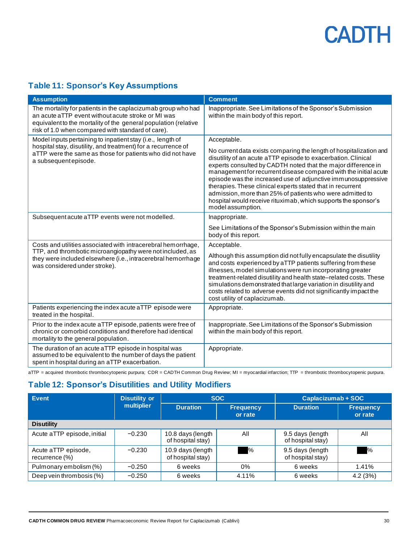#### <span id="page-29-0"></span>**Table 11: Sponsor's Key Assumptions**

| <b>Assumption</b>                                                                                                                                                                                                                          | <b>Comment</b>                                                                                                                                                                                                                                                                                                                                                                                                                                                                                                                                                             |
|--------------------------------------------------------------------------------------------------------------------------------------------------------------------------------------------------------------------------------------------|----------------------------------------------------------------------------------------------------------------------------------------------------------------------------------------------------------------------------------------------------------------------------------------------------------------------------------------------------------------------------------------------------------------------------------------------------------------------------------------------------------------------------------------------------------------------------|
| The mortality for patients in the caplacizumab group who had<br>an acute aTTP event without acute stroke or MI was<br>equivalent to the mortality of the general population (relative<br>risk of 1.0 when compared with standard of care). | Inappropriate. See Limitations of the Sponsor's Submission<br>within the main body of this report.                                                                                                                                                                                                                                                                                                                                                                                                                                                                         |
| Model inputs pertaining to inpatient stay (i.e., length of<br>hospital stay, disutility, and treatment) for a recurrence of<br>aTTP were the same as those for patients who did not have<br>a subsequent episode.                          | Acceptable.<br>No current data exists comparing the length of hospitalization and<br>disutility of an acute aTTP episode to exacerbation. Clinical<br>experts consulted by CADTH noted that the major difference in<br>management for recurrent disease compared with the initial acute<br>episode was the increased use of adjunctive immunosuppressive<br>therapies. These clinical experts stated that in recurrent<br>admission, more than 25% of patients who were admitted to<br>hospital would receive rituximab, which supports the sponsor's<br>model assumption. |
| Subsequent acute aTTP events were not modelled.                                                                                                                                                                                            | Inappropriate.<br>See Limitations of the Sponsor's Submission within the main<br>body of this report.                                                                                                                                                                                                                                                                                                                                                                                                                                                                      |
| Costs and utilities associated with intracerebral hemorrhage,<br>TTP, and thrombotic microangiopathy were not included, as<br>they were included elsewhere (i.e., intracerebral hemorrhage<br>was considered under stroke).                | Acceptable.<br>Although this assumption did not fully encapsulate the disutility<br>and costs experienced by aTTP patients suffering from these<br>illnesses, model simulations were run incorporating greater<br>treatment-related disutility and health state-related costs. These<br>simulations demonstrated that large variation in disutility and<br>costs related to adverse events did not significantly impact the<br>cost utility of caplacizumab.                                                                                                               |
| Patients experiencing the index acute aTTP episode were<br>treated in the hospital.                                                                                                                                                        | Appropriate.                                                                                                                                                                                                                                                                                                                                                                                                                                                                                                                                                               |
| Prior to the index acute aTTP episode, patients were free of<br>chronic or comorbid conditions and therefore had identical<br>mortality to the general population.                                                                         | Inappropriate. See Limitations of the Sponsor's Submission<br>within the main body of this report.                                                                                                                                                                                                                                                                                                                                                                                                                                                                         |
| The duration of an acute aTTP episode in hospital was<br>assumed to be equivalent to the number of days the patient<br>spent in hospital during an aTTP exacerbation.                                                                      | Appropriate.                                                                                                                                                                                                                                                                                                                                                                                                                                                                                                                                                               |

aTTP = acquired thrombotic thrombocytopenic purpura; CDR = CADTH Common Drug Review; MI = myocardial infarction; TTP = thrombotic thrombocytopenic purpura.

#### <span id="page-29-1"></span>**Table 12: Sponsor's Disutilities and Utility Modifiers**

| Event                                 | <b>Disutility or</b> | <b>SOC</b>                                     |       | Caplacizumab + SOC                    |                             |
|---------------------------------------|----------------------|------------------------------------------------|-------|---------------------------------------|-----------------------------|
|                                       | multiplier           | <b>Duration</b><br><b>Frequency</b><br>or rate |       | <b>Duration</b>                       | <b>Frequency</b><br>or rate |
| <b>Disutility</b>                     |                      |                                                |       |                                       |                             |
| Acute aTTP episode, initial           | $-0.230$             | 10.8 days (length<br>of hospital stay)         | All   | 9.5 days (length<br>of hospital stay) | All                         |
| Acute aTTP episode,<br>recurrence (%) | $-0.230$             | 10.9 days (length<br>of hospital stay)         | $\%$  | 9.5 days (length<br>of hospital stay) | ℅                           |
| Pulmonary embolism (%)                | $-0.250$             | 6 weeks                                        | 0%    | 6 weeks                               | 1.41%                       |
| Deep vein thrombosis (%)              | $-0.250$             | 6 weeks                                        | 4.11% | 6 weeks                               | 4.2(3%)                     |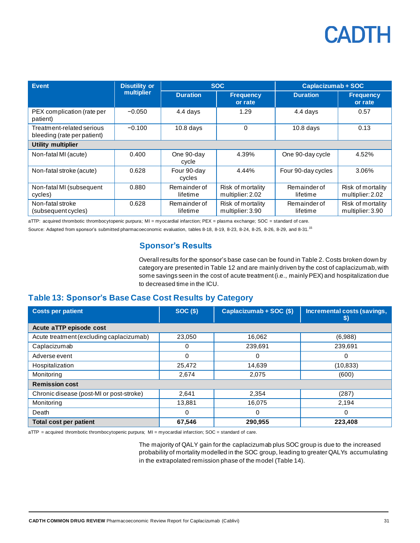| Event.                                                   | <b>Disutility or</b> |                          | <b>SOC</b>                            | Caplacizumab + SOC       |                                       |
|----------------------------------------------------------|----------------------|--------------------------|---------------------------------------|--------------------------|---------------------------------------|
|                                                          | multiplier           | <b>Duration</b>          | <b>Frequency</b><br>or rate           | <b>Duration</b>          | <b>Frequency</b><br>or rate           |
| PEX complication (rate per<br>patient)                   | $-0.050$             | 4.4 days                 | 1.29                                  | 4.4 days                 | 0.57                                  |
| Treatment-related serious<br>bleeding (rate per patient) | $-0.100$             | $10.8$ days              | 0                                     | $10.8$ days              | 0.13                                  |
| Utility multiplier                                       |                      |                          |                                       |                          |                                       |
| Non-fatal MI (acute)                                     | 0.400                | One 90-day<br>cycle      | 4.39%                                 | One 90-day cycle         | 4.52%                                 |
| Non-fatal stroke (acute)                                 | 0.628                | Four 90-day<br>cycles    | 4.44%                                 | Four 90-day cycles       | 3.06%                                 |
| Non-fatal MI (subsequent<br>cycles)                      | 0.880                | Remainder of<br>lifetime | Risk of mortality<br>multiplier: 2.02 | Remainder of<br>lifetime | Risk of mortality<br>multiplier: 2.02 |
| Non-fatal stroke<br>(subsequent cycles)                  | 0.628                | Remainder of<br>lifetime | Risk of mortality<br>multiplier: 3.90 | Remainder of<br>lifetime | Risk of mortality<br>multiplier: 3.90 |

aTTP: acquired thrombotic thrombocytopenic purpura; MI = myocardial infarction; PEX = plasma exchange; SOC = standard of care.

Source: Adapted from sponsor's submitted pharmacoeconomic evaluation, tables 8-18, 8-19, 8-23, 8-24, 8-25, 8-26, 8-29, and 8-31.<sup>15</sup>

#### **Sponsor's Results**

Overall results for the sponsor's base case can be found i[n Table](#page-11-2) 2. Costs broken down by category are presented in [Table](#page-29-1) 12 and are mainly driven by the cost of caplacizumab, with some savings seen in the cost of acute treatment (i.e., mainly PEX) and hospitalization due to decreased time in the ICU.

#### <span id="page-30-0"></span>**Table 13: Sponsor's Base Case Cost Results by Category**

| <b>Costs per patient</b>                 | <b>SOC (\$)</b> | Caplacizumab + SOC (\$) | Incremental costs (savings,<br>\$) |  |  |
|------------------------------------------|-----------------|-------------------------|------------------------------------|--|--|
| Acute aTTP episode cost                  |                 |                         |                                    |  |  |
| Acute treatment (excluding caplacizumab) | 23.050          | 16,062                  | (6,988)                            |  |  |
| Caplacizumab                             | 0               | 239.691                 | 239.691                            |  |  |
| Adverse event                            | 0               | 0                       | 0                                  |  |  |
| Hospitalization                          | 25,472          | 14,639                  | (10, 833)                          |  |  |
| Monitoring                               | 2,674           | 2,075                   | (600)                              |  |  |
| <b>Remission cost</b>                    |                 |                         |                                    |  |  |
| Chronic disease (post-MI or post-stroke) | 2,641           | 2,354                   | (287)                              |  |  |
| Monitoring                               | 13,881          | 16,075                  | 2,194                              |  |  |
| Death                                    | 0               | 0                       | 0                                  |  |  |
| <b>Total cost per patient</b>            | 67,546          | 290,955                 | 223,408                            |  |  |

aTTP = acquired thrombotic thrombocytopenic purpura; MI = myocardial infarction; SOC = standard of care.

The majority of QALY gain for the caplacizumab plus SOC group is due to the increased probability of mortality modelled in the SOC group, leading to greater QALYs accumulating in the extrapolated remission phase of the model [\(Table](#page-31-0) 14).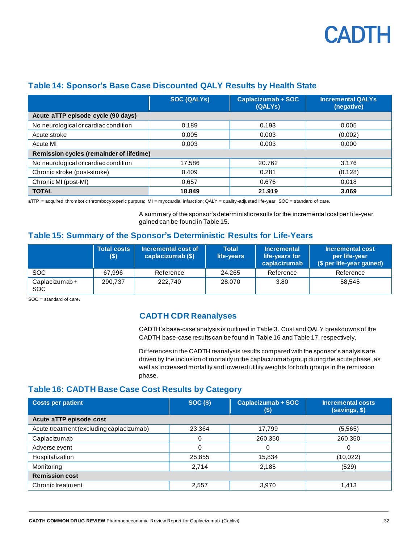

|                                          | <b>SOC (QALYS)</b> | Caplacizumab + SOC<br>(QALYs) | <b>Incremental QALYs</b><br>(negative) |
|------------------------------------------|--------------------|-------------------------------|----------------------------------------|
| Acute aTTP episode cycle (90 days)       |                    |                               |                                        |
| No neurological or cardiac condition     | 0.189              | 0.193                         | 0.005                                  |
| Acute stroke                             | 0.005              | 0.003                         | (0.002)                                |
| Acute MI                                 | 0.003              | 0.003                         | 0.000                                  |
| Remission cycles (remainder of lifetime) |                    |                               |                                        |
| No neurological or cardiac condition     | 17.586             | 20.762                        | 3.176                                  |
| Chronic stroke (post-stroke)             | 0.409              | 0.281                         | (0.128)                                |
| Chronic MI (post-MI)                     | 0.657              | 0.676                         | 0.018                                  |
| <b>TOTAL</b>                             | 18.849             | 21.919                        | 3.069                                  |

#### <span id="page-31-0"></span>**Table 14: Sponsor's Base Case Discounted QALY Results by Health State**

aTTP = acquired thrombotic thrombocytopenic purpura; MI = myocardial infarction; QALY = quality -adjusted life-year; SOC = standard of care.

A summary of the sponsor's deterministic results for the incremental cost per l ife-year gained can be found in [Table](#page-31-1) 15.

#### <span id="page-31-1"></span>**Table 15: Summary of the Sponsor's Deterministic Results for Life-Years**

|                       | <b>Total costs</b><br>\$) | Incremental cost of<br>caplacizumab (\$) | <b>Total</b><br>life-years | <b>Incremental</b><br>life-years for<br>caplacizumab | Incremental cost<br>per life-year<br>(\$ per life-year gained) |
|-----------------------|---------------------------|------------------------------------------|----------------------------|------------------------------------------------------|----------------------------------------------------------------|
| <b>SOC</b>            | 67.996                    | Reference                                | 24.265                     | Reference                                            | Reference                                                      |
| Caplacizumab +<br>SOC | 290,737                   | 222,740                                  | 28,070                     | 3.80                                                 | 58.545                                                         |

SOC = standard of care.

#### **CADTH CDR Reanalyses**

CADTH's base-case analysis is outlined i[n Table](#page-16-0) 3. Cost and QALY breakdowns of the CADTH base-case results can be found i[n Table](#page-31-2) 16 an[d Table](#page-32-0) 17, respectively.

Differences in the CADTH reanalysis results compared with the sponsor's analysis are driven by the inclusion of mortality in the caplacizumab group during the acute phase, as well as increased mortality and lowered utility weights for both groups in the remission phase.

#### <span id="page-31-2"></span>**Table 16: CADTH Base Case Cost Results by Category**

| <b>Costs per patient</b>                 | $SOC($ \$) | Caplacizumab + SOC<br>(\$) | Incremental costs<br>(savings, \$) |  |  |
|------------------------------------------|------------|----------------------------|------------------------------------|--|--|
| Acute aTTP episode cost                  |            |                            |                                    |  |  |
| Acute treatment (excluding caplacizumab) | 23,364     | 17,799                     | (5,565)                            |  |  |
| Caplacizumab                             |            | 260,350                    | 260,350                            |  |  |
| Adverse event                            | 0          | 0                          | 0                                  |  |  |
| Hospitalization                          | 25,855     | 15,834                     | (10, 022)                          |  |  |
| Monitoring                               | 2,714      | 2,185                      | (529)                              |  |  |
| <b>Remission cost</b>                    |            |                            |                                    |  |  |
| Chronic treatment                        | 2,557      | 3,970                      | 1,413                              |  |  |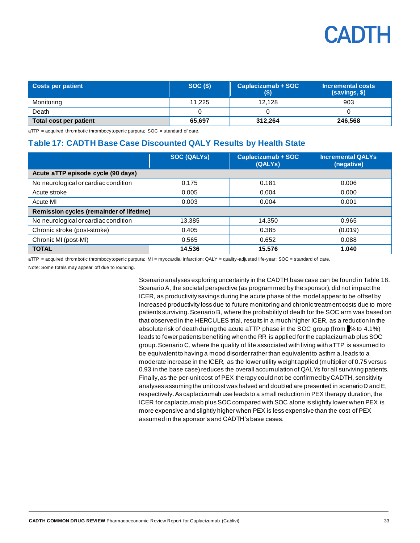| <b>Costs per patient</b> | SOC(S) | Caplacizumab + SOC<br>(\$) | Incremental costs<br>(savings, \$) |  |
|--------------------------|--------|----------------------------|------------------------------------|--|
| Monitoring               | 11.225 | 12.128                     | 903                                |  |
| Death                    |        |                            |                                    |  |
| Total cost per patient   | 65,697 | 312.264                    | 246,568                            |  |

 $aTTP$  = acquired thrombotic thrombocytopenic purpura;  $SOC$  = standard of care.

#### <span id="page-32-0"></span>**Table 17: CADTH Base Case Discounted QALY Results by Health State**

|                                                 | <b>SOC (QALYS)</b> | Caplacizumab + SOC<br>(QALYs) | <b>Incremental QALYs</b><br>(negative) |  |
|-------------------------------------------------|--------------------|-------------------------------|----------------------------------------|--|
| Acute aTTP episode cycle (90 days)              |                    |                               |                                        |  |
| No neurological or cardiac condition            | 0.175              | 0.181                         | 0.006                                  |  |
| Acute stroke                                    | 0.005              | 0.004                         | 0.000                                  |  |
| Acute MI                                        | 0.003              | 0.004                         | 0.001                                  |  |
| <b>Remission cycles (remainder of lifetime)</b> |                    |                               |                                        |  |
| No neurological or cardiac condition            | 13.385             | 14.350                        | 0.965                                  |  |
| Chronic stroke (post-stroke)                    | 0.405              | 0.385                         | (0.019)                                |  |
| Chronic MI (post-MI)                            | 0.565              | 0.652                         | 0.088                                  |  |
| <b>TOTAL</b>                                    | 14.536             | 15.576                        | 1.040                                  |  |

aTTP = acquired thrombotic thrombocytopenic purpura; MI = myocardial infarction; QALY = quality -adjusted life-year; SOC = standard of care.

Note: Some totals may appear off due to rounding.

Scenario analyses exploring uncertainty in the CADTH base case can be found i[n Table](#page-33-0) 18. Scenario A, the societal perspective (as programmed by the sponsor), did not impact the ICER, as productivity savings during the acute phase of the model appear to be offset by increased productivity loss due to future monitoring and chronic treatment costs due to more patients surviving.Scenario B, where the probability of death for the SOC arm was based on that observed in the HERCULES trial, results in a much higher ICER, as a reduction in the absolute risk of death during the acute aTTP phase in the SOC group (from  $%$  % to 4.1%) leads to fewer patients benefiting when the RR is applied for the caplacizumab plus SOC group. Scenario C, where the quality of life associated with living with aTTP is assumed to be equivalent to having a mood disorder rather than equivalent to asthm a, leads to a moderate increase in the ICER, as the lower utility weight applied (multiplier of 0.75 versus 0.93 in the base case) reduces the overall accumulation of QALYs for all surviving patients. Finally, as the per-unit cost of PEX therapy could not be confirmed by CADTH, sensitivity analyses assuming the unit cost was halved and doubled are presented in scenario D and E, respectively.As caplacizumab use leads to a small reduction in PEX therapy duration, the ICER for caplacizumab plus SOC compared with SOC alone is slightly lower when PEX is more expensive and slightly higher when PEX is less expensive than the cost of PEX assumed in the sponsor's and CADTH's base cases.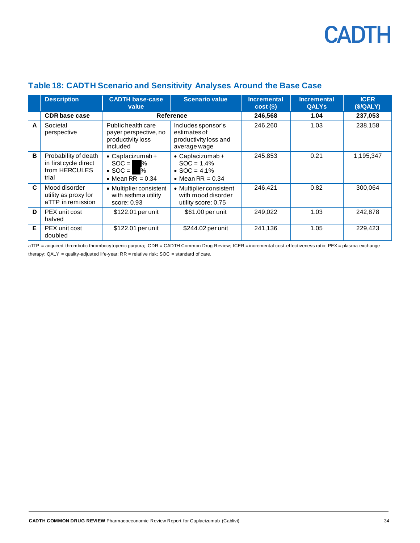|   | <b>Description</b>                                                      | <b>CADTH base-case</b><br>value                                                                  | <b>Scenario value</b>                                                       | <b>Incremental</b><br>$cost(\$))$ | <b>Incremental</b><br><b>QALYs</b> | <b>ICER</b><br>(S/QALY) |
|---|-------------------------------------------------------------------------|--------------------------------------------------------------------------------------------------|-----------------------------------------------------------------------------|-----------------------------------|------------------------------------|-------------------------|
|   | <b>CDR</b> base case                                                    | Reference                                                                                        |                                                                             | 246,568                           | 1.04                               | 237,053                 |
| A | Societal<br>perspective                                                 | Public health care<br>payer perspective, no<br>productivity loss<br>included                     | Includes sponsor's<br>estimates of<br>productivity loss and<br>average wage | 246,260                           | 1.03                               | 238,158                 |
| B | Probability of death<br>in first cycle direct<br>from HERCULES<br>trial | $\bullet$ Caplacizumab +<br>$SOC =$<br>$\%$<br>$\bullet$ SOC = $\bullet$ %<br>• Mean RR = $0.34$ | • Caplacizumab +<br>$SOC = 1.4%$<br>• $SOC = 4.1\%$<br>• Mean RR = $0.34$   | 245,853                           | 0.21                               | 1,195,347               |
| C | Mood disorder<br>utility as proxy for<br>aTTP in remission              | • Multiplier consistent<br>with asthma utility<br>score: 0.93                                    | • Multiplier consistent<br>with mood disorder<br>utility score: 0.75        | 246,421                           | 0.82                               | 300,064                 |
| D | PEX unit cost<br>halved                                                 | \$122.01 per unit                                                                                | \$61.00 per unit                                                            | 249,022                           | 1.03                               | 242,878                 |
| E | PEX unit cost<br>doubled                                                | \$122.01 per unit                                                                                | \$244.02 per unit                                                           | 241,136                           | 1.05                               | 229,423                 |

#### <span id="page-33-0"></span>**Table 18: CADTH Scenario and Sensitivity Analyses Around the Base Case**

aTTP = acquired thrombotic thrombocytopenic purpura; CDR = CADTH Common Drug Review; ICER = incremental cost-effectiveness ratio; PEX = plasma exchange therapy;  $QALY =$  quality-adjusted life-year;  $RR =$  relative risk;  $SOC =$  standard of care.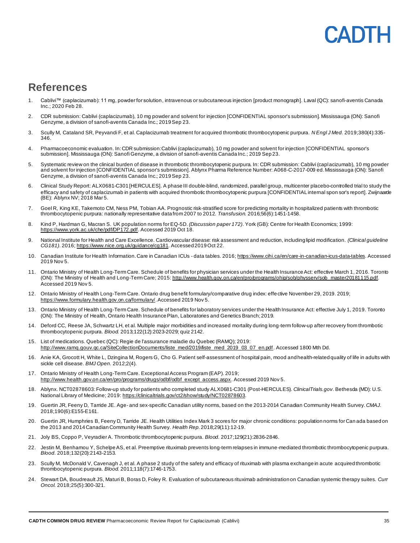### **ANTE**

### <span id="page-34-0"></span>**References**

- 1. Cablivi™ (caplacizumab): 11 mg, powder for solution, intravenous or subcutaneous injection [product monograph]. Laval (QC): sanofi-aventis Canada Inc.; 2020 Feb 28.
- 2. CDR submission: Cablivi (caplacizumab), 10 mg powder and solvent for injection [CONFIDENTIAL sponsor's submission]. Mississauga (ON): Sanofi Genzyme, a division of sanofi-aventis Canada Inc.; 2019 Sep 23.
- 3. Scully M, Cataland SR, Peyvandi F, et al. Caplacizumab treatment for acquired thrombotic thrombocytopenic purpura. *N Engl J Med.* 2019;380(4):335- 346.
- 4. Pharmacoeconomic evaluation. In: CDR submission:Cablivi (caplacizumab), 10 mg powder and solvent for injection [CONFIDENTIAL sponsor's submission]. Mississauga (ON): Sanofi Genzyme, a division of sanofi-aventis Canada Inc.; 2019 Sep 23.
- 5. Systematic review on the clinical burden of disease in thrombotic thrombocytopenic purpura. In: CDR submission: Cablivi (caplacizumab), 10 mg powder and solvent for injection [CONFIDENTIAL sponsor's submission]. Ablynx Pharma Reference Number: A068-C-2017-009 ed. Mississauga (ON): Sanofi Genzyme, a division of sanofi-aventis Canada Inc.; 2019 Sep 23.
- 6. Clinical Study Report: ALX0681-C301 [HERCULES]. A phase III double-blind, randomized, parallel group, multicenter placebo-controlled trial to study the efficacy and safety of caplacizumab in patients with acquired thrombotic thrombocytopenic purpura [CONFIDENTIAL internal spon sor's report]. Zwijnaarde (BE): Ablynx NV; 2018 Mar 5.
- 7. Goel R, King KE, Takemoto CM, Ness PM, Tobian AA. Prognostic risk-stratified score for predicting mortality in hospitalized patients with thrombotic thrombocytopenic purpura: nationally representative data from 2007 to 2012. *Transfusion.* 2016;56(6):1451-1458.
- 8. Kind P, Hardman G, Macran S. UK population norms for EQ-5D. *(Discussion paper 172)*. York (GB): Centre for Health Economics; 1999: <https://www.york.ac.uk/che/pdf/DP172.pdf>. Accessed 2019 Oct 18.
- 9. National Institute for Health and Care Excellence. Cardiovascular disease: risk assessment and reduction, including lipid modification. *(Clinical guideline CG181)*. 2016[; https://www.nice.org.uk/guidance/cg181](https://www.nice.org.uk/guidance/cg181). Accessed 2019 Oct 22.
- 10. Canadian Institute for Health Information. Care in Canadian ICUs data tables. 201[6; https://www.cihi.ca/en/care-in-canadian-icus-data-tables](https://www.cihi.ca/en/care-in-canadian-icus-data-tables). Accessed 2019 Nov 5.
- 11. Ontario Ministry of Health Long-Term Care. Schedule of benefits for physician services under the Health Insurance Act: effective March 1, 2016. Toronto (ON): The Ministry of Health and Long-Term Care; 201[5: http://www.health.gov.on.ca/en/pro/programs/ohip/sob/physserv/sob\\_master20181115.pdf](http://www.health.gov.on.ca/en/pro/programs/ohip/sob/physserv/sob_master20181115.pdf). Accessed 2019 Nov 5.
- 12. Ontario Ministry of Health Long-Term Care. Ontario drug benefit formulary/comparative drug index: effective November 29, 2019. 2019; <https://www.formulary.health.gov.on.ca/formulary/>. Accessed 2019 Nov 5.
- 13. Ontario Ministry of Health Long-Term Care. Schedule of benefits for laboratory services under the Health Insurance Act: effective July 1, 2019. Toronto (ON): The Ministry of Health, Ontario Health Insurance Plan, Laboratories and Genetics Branch; 2019.
- 14. Deford CC, Reese JA, Schwartz LH, et al. Multiple major morbidities and increased mortality during long-term follow-up after recovery from thrombotic thrombocytopenic purpura. *Blood.* 2013;122(12):2023-2029; quiz 2142.
- 15. List of medications. Quebec (QC): Regie de l'assurance maladie du Quebec (RAMQ); 2019: [http://www.ramq.gouv.qc.ca/SiteCollectionDocuments/liste\\_med/2019/liste\\_med\\_2019\\_03\\_07\\_en.pdf](http://www.ramq.gouv.qc.ca/SiteCollectionDocuments/liste_med/2019/liste_med_2019_03_07_en.pdf). Accessed 1800 Mth Dd.
- 16. Anie KA, Grocott H, White L, Dzingina M, Rogers G, Cho G. Patient self-assessment of hospital pain, mood and health-related quality of life in adults with sickle cell disease. *BMJ Open.* 2012;2(4).
- 17. Ontario Ministry of Health Long-Term Care. Exceptional Access Program (EAP). 2019; [http://www.health.gov.on.ca/en/pro/programs/drugs/odbf/odbf\\_except\\_access.aspx](http://www.health.gov.on.ca/en/pro/programs/drugs/odbf/odbf_except_access.aspx). Accessed 2019 Nov 5.
- 18. Ablynx. NCT02878603: Follow-up study for patients who completed study ALX0681-C301 (Post-HERCULES). *ClinicalTrials.gov*. Bethesda (MD): U.S. National Library of Medicine; 2019[: https://clinicaltrials.gov/ct2/show/study/NCT02878603](https://clinicaltrials.gov/ct2/show/study/NCT02878603).
- 19. Guertin JR, Feeny D, Tarride JE. Age- and sex-specific Canadian utility norms, based on the 2013-2014 Canadian Community Health Survey. *CMAJ.*  2018;190(6):E155-E161.
- 20. Guertin JR, Humphries B, Feeny D, Tarride JE. Health Utilities Index Mark 3 scores for major chronic conditions: population norms for Can ada based on the 2013 and 2014 Canadian Community Health Survey. *Health Rep.* 2018;29(11):12-19.
- 21. Joly BS, Coppo P, Veyradier A. Thrombotic thrombocytopenic purpura. *Blood.* 2017;129(21):2836-2846.
- 22. Jestin M, Benhamou Y, Schelpe AS, et al. Preemptive rituximab prevents long-term relapses in immune-mediated thrombotic thrombocytopenic purpura. *Blood.* 2018;132(20):2143-2153.
- 23. Scully M, McDonald V, Cavenagh J, et al. A phase 2 study of the safety and efficacy of rituximab with plasma exchange in acute acquired thrombotic thrombocytopenic purpura. *Blood.* 2011;118(7):1746-1753.
- 24. Stewart DA, Boudreault JS, Maturi B, Boras D, Foley R. Evaluation of subcutaneous rituximab administration on Canadian systemic therapy suites. *Curr Oncol.* 2018;25(5):300-321.